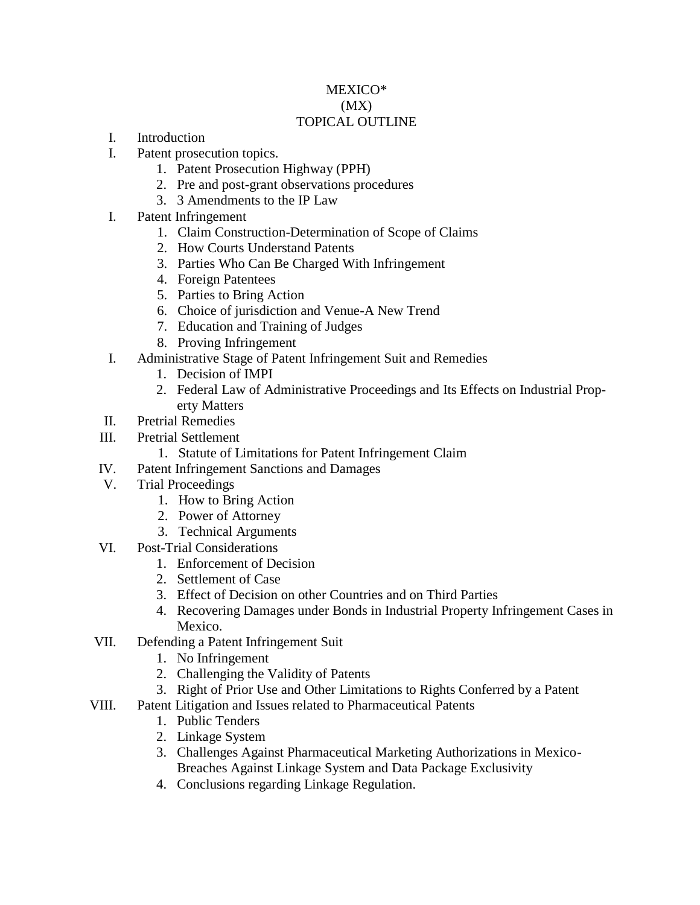# MEXICO\* (MX) TOPICAL OUTLINE

- I. Introduction
- I. Patent prosecution topics.
	- 1. Patent Prosecution Highway (PPH)
	- 2. Pre and post-grant observations procedures
	- 3. 3 Amendments to the IP Law
- I. Patent Infringement
	- 1. Claim Construction-Determination of Scope of Claims
	- 2. How Courts Understand Patents
	- 3. Parties Who Can Be Charged With Infringement
	- 4. Foreign Patentees
	- 5. Parties to Bring Action
	- 6. Choice of jurisdiction and Venue-A New Trend
	- 7. Education and Training of Judges
	- 8. Proving Infringement
- I. Administrative Stage of Patent Infringement Suit and Remedies
	- 1. Decision of IMPI
	- 2. Federal Law of Administrative Proceedings and Its Effects on Industrial Property Matters
- II. Pretrial Remedies
- III. Pretrial Settlement
	- 1. Statute of Limitations for Patent Infringement Claim
- IV. Patent Infringement Sanctions and Damages
- V. Trial Proceedings
	- 1. How to Bring Action
	- 2. Power of Attorney
	- 3. Technical Arguments
- VI. Post-Trial Considerations
	- 1. Enforcement of Decision
	- 2. Settlement of Case
	- 3. Effect of Decision on other Countries and on Third Parties
	- 4. Recovering Damages under Bonds in Industrial Property Infringement Cases in Mexico.
- VII. Defending a Patent Infringement Suit
	- 1. No Infringement
	- 2. Challenging the Validity of Patents
	- 3. Right of Prior Use and Other Limitations to Rights Conferred by a Patent
- VIII. Patent Litigation and Issues related to Pharmaceutical Patents
	- 1. Public Tenders
	- 2. Linkage System
	- 3. Challenges Against Pharmaceutical Marketing Authorizations in Mexico-Breaches Against Linkage System and Data Package Exclusivity
	- 4. Conclusions regarding Linkage Regulation.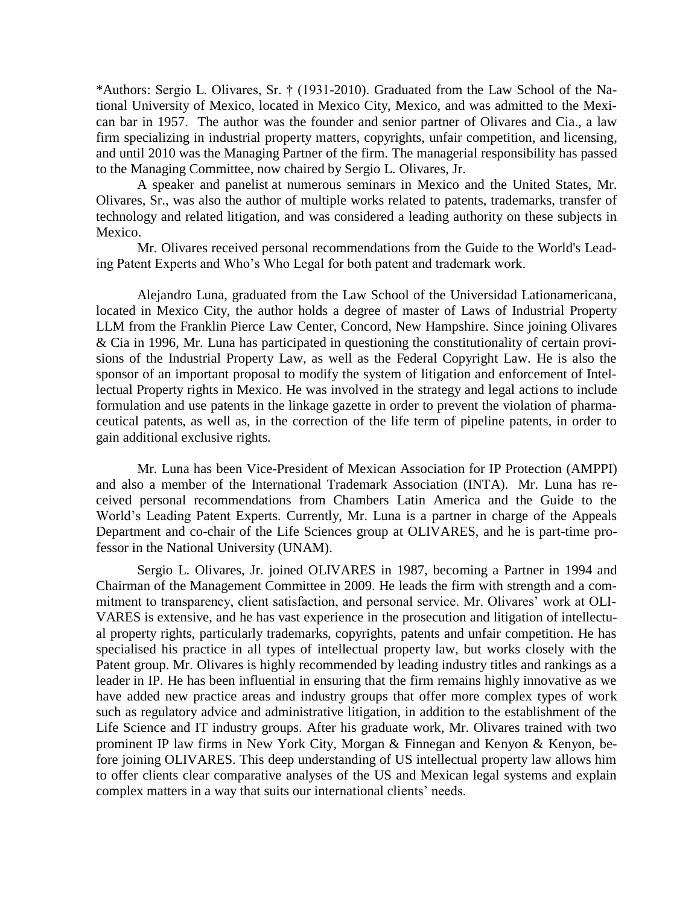\*Authors: Sergio L. Olivares, Sr. † (1931-2010). Graduated from the Law School of the National University of Mexico, located in Mexico City, Mexico, and was admitted to the Mexican bar in 1957. The author was the founder and senior partner of Olivares and Cia., a law firm specializing in industrial property matters, copyrights, unfair competition, and licensing, and until 2010 was the Managing Partner of the firm. The managerial responsibility has passed to the Managing Committee, now chaired by Sergio L. Olivares, Jr.

A speaker and panelist at numerous seminars in Mexico and the United States, Mr. Olivares, Sr., was also the author of multiple works related to patents, trademarks, transfer of technology and related litigation, and was considered a leading authority on these subjects in Mexico.

Mr. Olivares received personal recommendations from the Guide to the World's Leading Patent Experts and Who's Who Legal for both patent and trademark work.

Alejandro Luna, graduated from the Law School of the Universidad Lationamericana, located in Mexico City, the author holds a degree of master of Laws of Industrial Property LLM from the Franklin Pierce Law Center, Concord, New Hampshire. Since joining Olivares & Cia in 1996, Mr. Luna has participated in questioning the constitutionality of certain provisions of the Industrial Property Law, as well as the Federal Copyright Law. He is also the sponsor of an important proposal to modify the system of litigation and enforcement of Intellectual Property rights in Mexico. He was involved in the strategy and legal actions to include formulation and use patents in the linkage gazette in order to prevent the violation of pharmaceutical patents, as well as, in the correction of the life term of pipeline patents, in order to gain additional exclusive rights.

Mr. Luna has been Vice-President of Mexican Association for IP Protection (AMPPI) and also a member of the International Trademark Association (INTA). Mr. Luna has received personal recommendations from Chambers Latin America and the Guide to the World's Leading Patent Experts. Currently, Mr. Luna is a partner in charge of the Appeals Department and co-chair of the Life Sciences group at OLIVARES, and he is part-time professor in the National University (UNAM).

Sergio L. Olivares, Jr. joined OLIVARES in 1987, becoming a Partner in 1994 and Chairman of the Management Committee in 2009. He leads the firm with strength and a commitment to transparency, client satisfaction, and personal service. Mr. Olivares' work at OLI-VARES is extensive, and he has vast experience in the prosecution and litigation of intellectual property rights, particularly trademarks, copyrights, patents and unfair competition. He has specialised his practice in all types of intellectual property law, but works closely with the Patent group. Mr. Olivares is highly recommended by leading industry titles and rankings as a leader in IP. He has been influential in ensuring that the firm remains highly innovative as we have added new practice areas and industry groups that offer more complex types of work such as regulatory advice and administrative litigation, in addition to the establishment of the Life Science and IT industry groups. After his graduate work, Mr. Olivares trained with two prominent IP law firms in New York City, Morgan & Finnegan and Kenyon & Kenyon, before joining OLIVARES. This deep understanding of US intellectual property law allows him to offer clients clear comparative analyses of the US and Mexican legal systems and explain complex matters in a way that suits our international clients' needs.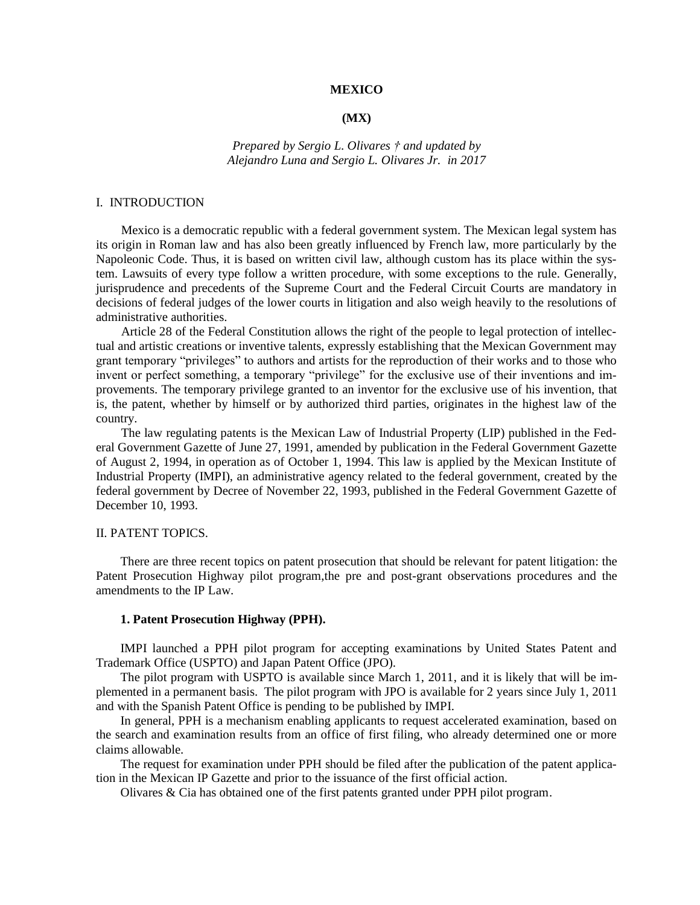### **MEXICO**

### **(MX)**

# *Prepared by Sergio L. Olivares † and updated by Alejandro Luna and Sergio L. Olivares Jr. in 2017*

#### I. INTRODUCTION

Mexico is a democratic republic with a federal government system. The Mexican legal system has its origin in Roman law and has also been greatly influenced by French law, more particularly by the Napoleonic Code. Thus, it is based on written civil law, although custom has its place within the system. Lawsuits of every type follow a written procedure, with some exceptions to the rule. Generally, jurisprudence and precedents of the Supreme Court and the Federal Circuit Courts are mandatory in decisions of federal judges of the lower courts in litigation and also weigh heavily to the resolutions of administrative authorities.

Article 28 of the Federal Constitution allows the right of the people to legal protection of intellectual and artistic creations or inventive talents, expressly establishing that the Mexican Government may grant temporary "privileges" to authors and artists for the reproduction of their works and to those who invent or perfect something, a temporary "privilege" for the exclusive use of their inventions and improvements. The temporary privilege granted to an inventor for the exclusive use of his invention, that is, the patent, whether by himself or by authorized third parties, originates in the highest law of the country.

The law regulating patents is the Mexican Law of Industrial Property (LIP) published in the Federal Government Gazette of June 27, 1991, amended by publication in the Federal Government Gazette of August 2, 1994, in operation as of October 1, 1994. This law is applied by the Mexican Institute of Industrial Property (IMPI), an administrative agency related to the federal government, created by the federal government by Decree of November 22, 1993, published in the Federal Government Gazette of December 10, 1993.

#### II. PATENT TOPICS.

There are three recent topics on patent prosecution that should be relevant for patent litigation: the Patent Prosecution Highway pilot program,the pre and post-grant observations procedures and the amendments to the IP Law.

### **1. Patent Prosecution Highway (PPH).**

IMPI launched a PPH pilot program for accepting examinations by United States Patent and Trademark Office (USPTO) and Japan Patent Office (JPO).

The pilot program with USPTO is available since March 1, 2011, and it is likely that will be implemented in a permanent basis. The pilot program with JPO is available for 2 years since July 1, 2011 and with the Spanish Patent Office is pending to be published by IMPI.

In general, PPH is a mechanism enabling applicants to request accelerated examination, based on the search and examination results from an office of first filing, who already determined one or more claims allowable.

The request for examination under PPH should be filed after the publication of the patent application in the Mexican IP Gazette and prior to the issuance of the first official action.

Olivares & Cia has obtained one of the first patents granted under PPH pilot program.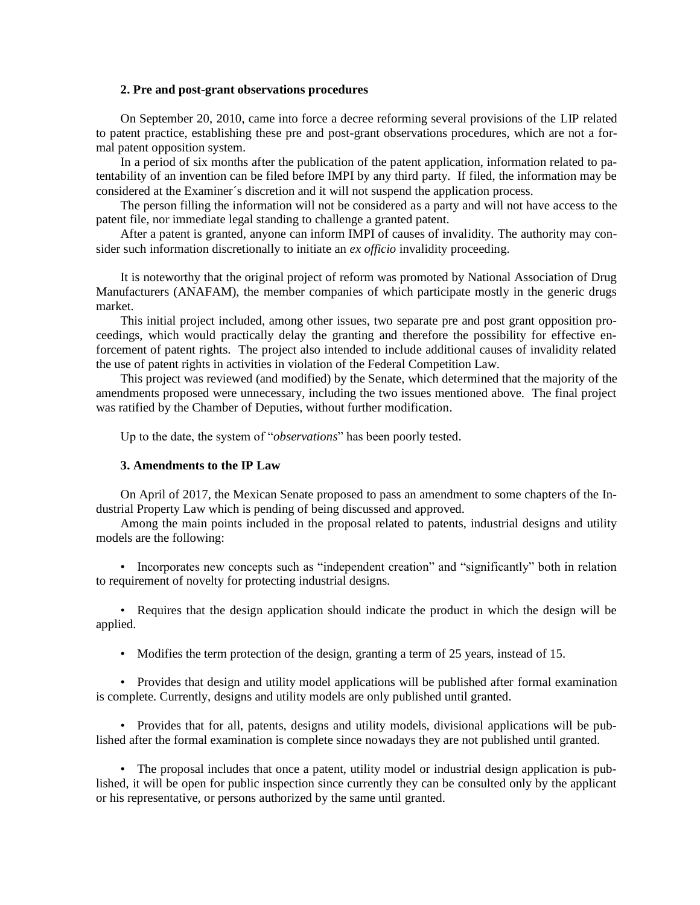### **2. Pre and post-grant observations procedures**

On September 20, 2010, came into force a decree reforming several provisions of the LIP related to patent practice, establishing these pre and post-grant observations procedures, which are not a formal patent opposition system.

In a period of six months after the publication of the patent application, information related to patentability of an invention can be filed before IMPI by any third party. If filed, the information may be considered at the Examiner´s discretion and it will not suspend the application process.

The person filling the information will not be considered as a party and will not have access to the patent file, nor immediate legal standing to challenge a granted patent.

After a patent is granted, anyone can inform IMPI of causes of invalidity. The authority may consider such information discretionally to initiate an *ex officio* invalidity proceeding.

It is noteworthy that the original project of reform was promoted by National Association of Drug Manufacturers (ANAFAM), the member companies of which participate mostly in the generic drugs market.

This initial project included, among other issues, two separate pre and post grant opposition proceedings, which would practically delay the granting and therefore the possibility for effective enforcement of patent rights. The project also intended to include additional causes of invalidity related the use of patent rights in activities in violation of the Federal Competition Law.

This project was reviewed (and modified) by the Senate, which determined that the majority of the amendments proposed were unnecessary, including the two issues mentioned above. The final project was ratified by the Chamber of Deputies, without further modification.

Up to the date, the system of "*observations*" has been poorly tested.

### **3. Amendments to the IP Law**

On April of 2017, the Mexican Senate proposed to pass an amendment to some chapters of the Industrial Property Law which is pending of being discussed and approved.

Among the main points included in the proposal related to patents, industrial designs and utility models are the following:

• Incorporates new concepts such as "independent creation" and "significantly" both in relation to requirement of novelty for protecting industrial designs.

• Requires that the design application should indicate the product in which the design will be applied.

• Modifies the term protection of the design, granting a term of 25 years, instead of 15.

• Provides that design and utility model applications will be published after formal examination is complete. Currently, designs and utility models are only published until granted.

• Provides that for all, patents, designs and utility models, divisional applications will be published after the formal examination is complete since nowadays they are not published until granted.

• The proposal includes that once a patent, utility model or industrial design application is published, it will be open for public inspection since currently they can be consulted only by the applicant or his representative, or persons authorized by the same until granted.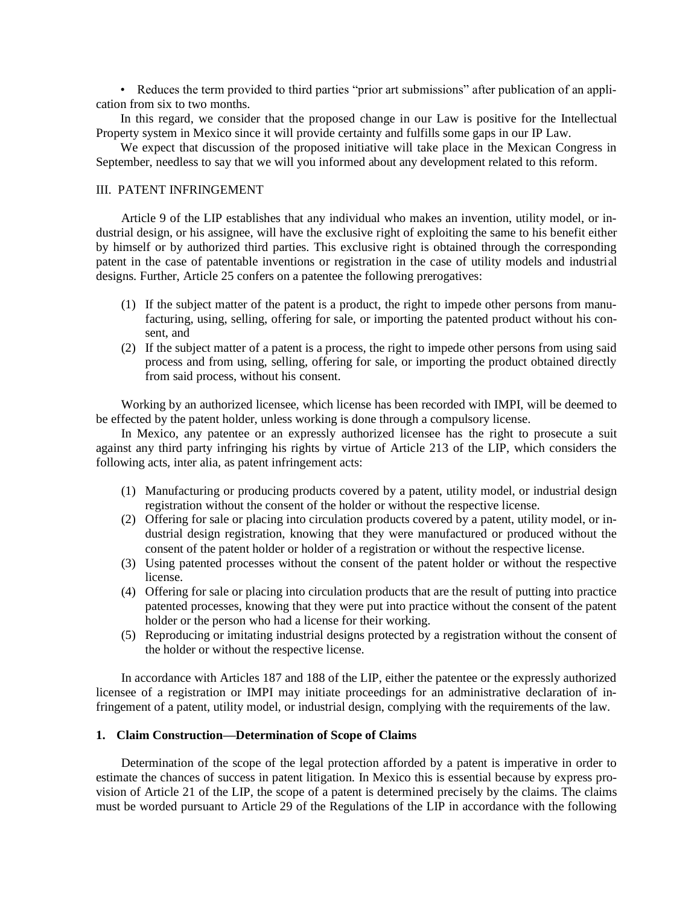• Reduces the term provided to third parties "prior art submissions" after publication of an application from six to two months.

In this regard, we consider that the proposed change in our Law is positive for the Intellectual Property system in Mexico since it will provide certainty and fulfills some gaps in our IP Law.

We expect that discussion of the proposed initiative will take place in the Mexican Congress in September, needless to say that we will you informed about any development related to this reform.

# III. PATENT INFRINGEMENT

Article 9 of the LIP establishes that any individual who makes an invention, utility model, or industrial design, or his assignee, will have the exclusive right of exploiting the same to his benefit either by himself or by authorized third parties. This exclusive right is obtained through the corresponding patent in the case of patentable inventions or registration in the case of utility models and industrial designs. Further, Article 25 confers on a patentee the following prerogatives:

- (1) If the subject matter of the patent is a product, the right to impede other persons from manufacturing, using, selling, offering for sale, or importing the patented product without his consent, and
- (2) If the subject matter of a patent is a process, the right to impede other persons from using said process and from using, selling, offering for sale, or importing the product obtained directly from said process, without his consent.

Working by an authorized licensee, which license has been recorded with IMPI, will be deemed to be effected by the patent holder, unless working is done through a compulsory license.

In Mexico, any patentee or an expressly authorized licensee has the right to prosecute a suit against any third party infringing his rights by virtue of Article 213 of the LIP, which considers the following acts, inter alia, as patent infringement acts:

- (1) Manufacturing or producing products covered by a patent, utility model, or industrial design registration without the consent of the holder or without the respective license.
- (2) Offering for sale or placing into circulation products covered by a patent, utility model, or industrial design registration, knowing that they were manufactured or produced without the consent of the patent holder or holder of a registration or without the respective license.
- (3) Using patented processes without the consent of the patent holder or without the respective license.
- (4) Offering for sale or placing into circulation products that are the result of putting into practice patented processes, knowing that they were put into practice without the consent of the patent holder or the person who had a license for their working.
- (5) Reproducing or imitating industrial designs protected by a registration without the consent of the holder or without the respective license.

In accordance with Articles 187 and 188 of the LIP, either the patentee or the expressly authorized licensee of a registration or IMPI may initiate proceedings for an administrative declaration of infringement of a patent, utility model, or industrial design, complying with the requirements of the law.

### **1. Claim Construction—Determination of Scope of Claims**

Determination of the scope of the legal protection afforded by a patent is imperative in order to estimate the chances of success in patent litigation. In Mexico this is essential because by express provision of Article 21 of the LIP, the scope of a patent is determined precisely by the claims. The claims must be worded pursuant to Article 29 of the Regulations of the LIP in accordance with the following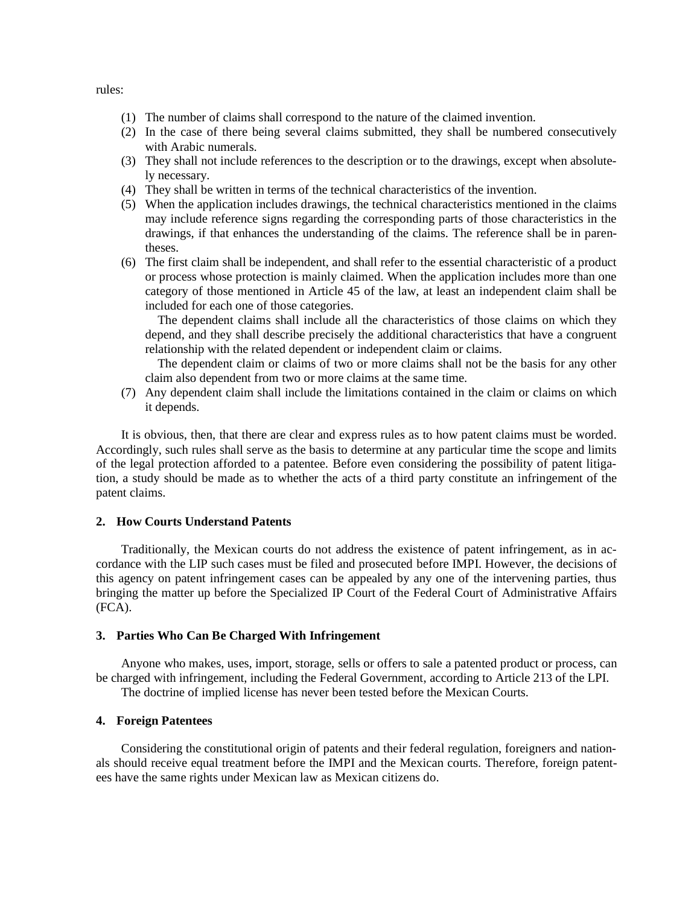rules:

- (1) The number of claims shall correspond to the nature of the claimed invention.
- (2) In the case of there being several claims submitted, they shall be numbered consecutively with Arabic numerals.
- (3) They shall not include references to the description or to the drawings, except when absolutely necessary.
- (4) They shall be written in terms of the technical characteristics of the invention.
- (5) When the application includes drawings, the technical characteristics mentioned in the claims may include reference signs regarding the corresponding parts of those characteristics in the drawings, if that enhances the understanding of the claims. The reference shall be in parentheses.
- (6) The first claim shall be independent, and shall refer to the essential characteristic of a product or process whose protection is mainly claimed. When the application includes more than one category of those mentioned in Article 45 of the law, at least an independent claim shall be included for each one of those categories.

The dependent claims shall include all the characteristics of those claims on which they depend, and they shall describe precisely the additional characteristics that have a congruent relationship with the related dependent or independent claim or claims.

The dependent claim or claims of two or more claims shall not be the basis for any other claim also dependent from two or more claims at the same time.

(7) Any dependent claim shall include the limitations contained in the claim or claims on which it depends.

It is obvious, then, that there are clear and express rules as to how patent claims must be worded. Accordingly, such rules shall serve as the basis to determine at any particular time the scope and limits of the legal protection afforded to a patentee. Before even considering the possibility of patent litigation, a study should be made as to whether the acts of a third party constitute an infringement of the patent claims.

# **2. How Courts Understand Patents**

Traditionally, the Mexican courts do not address the existence of patent infringement, as in accordance with the LIP such cases must be filed and prosecuted before IMPI. However, the decisions of this agency on patent infringement cases can be appealed by any one of the intervening parties, thus bringing the matter up before the Specialized IP Court of the Federal Court of Administrative Affairs (FCA).

### **3. Parties Who Can Be Charged With Infringement**

Anyone who makes, uses, import, storage, sells or offers to sale a patented product or process, can be charged with infringement, including the Federal Government, according to Article 213 of the LPI. The doctrine of implied license has never been tested before the Mexican Courts.

# **4. Foreign Patentees**

Considering the constitutional origin of patents and their federal regulation, foreigners and nationals should receive equal treatment before the IMPI and the Mexican courts. Therefore, foreign patentees have the same rights under Mexican law as Mexican citizens do.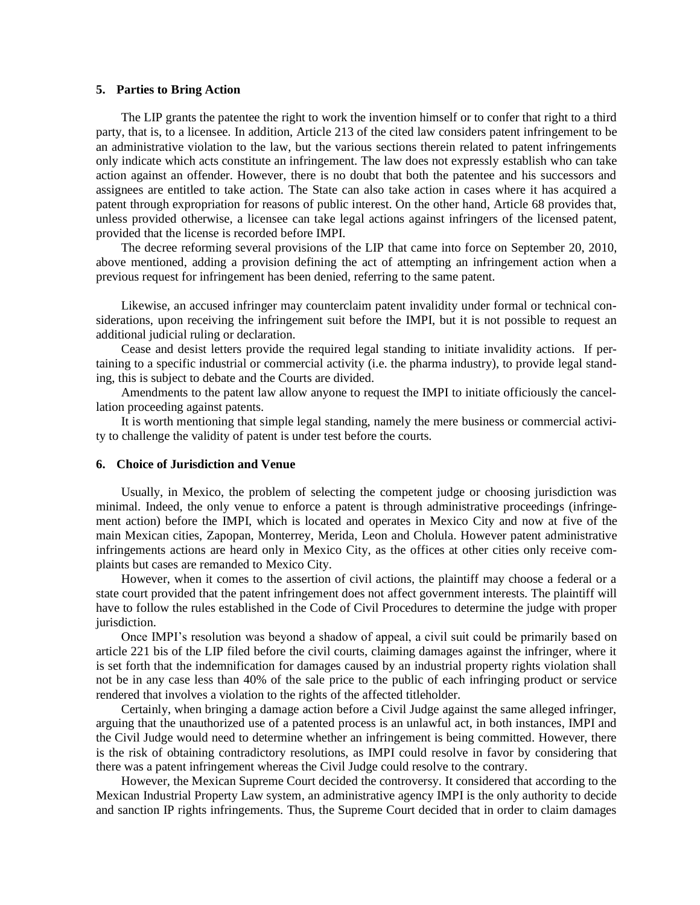### **5. Parties to Bring Action**

The LIP grants the patentee the right to work the invention himself or to confer that right to a third party, that is, to a licensee. In addition, Article 213 of the cited law considers patent infringement to be an administrative violation to the law, but the various sections therein related to patent infringements only indicate which acts constitute an infringement. The law does not expressly establish who can take action against an offender. However, there is no doubt that both the patentee and his successors and assignees are entitled to take action. The State can also take action in cases where it has acquired a patent through expropriation for reasons of public interest. On the other hand, Article 68 provides that, unless provided otherwise, a licensee can take legal actions against infringers of the licensed patent, provided that the license is recorded before IMPI.

The decree reforming several provisions of the LIP that came into force on September 20, 2010, above mentioned, adding a provision defining the act of attempting an infringement action when a previous request for infringement has been denied, referring to the same patent.

Likewise, an accused infringer may counterclaim patent invalidity under formal or technical considerations, upon receiving the infringement suit before the IMPI, but it is not possible to request an additional judicial ruling or declaration.

Cease and desist letters provide the required legal standing to initiate invalidity actions. If pertaining to a specific industrial or commercial activity (i.e. the pharma industry), to provide legal standing, this is subject to debate and the Courts are divided.

Amendments to the patent law allow anyone to request the IMPI to initiate officiously the cancellation proceeding against patents.

It is worth mentioning that simple legal standing, namely the mere business or commercial activity to challenge the validity of patent is under test before the courts.

### **6. Choice of Jurisdiction and Venue**

Usually, in Mexico, the problem of selecting the competent judge or choosing jurisdiction was minimal. Indeed, the only venue to enforce a patent is through administrative proceedings (infringement action) before the IMPI, which is located and operates in Mexico City and now at five of the main Mexican cities, Zapopan, Monterrey, Merida, Leon and Cholula. However patent administrative infringements actions are heard only in Mexico City, as the offices at other cities only receive complaints but cases are remanded to Mexico City.

However, when it comes to the assertion of civil actions, the plaintiff may choose a federal or a state court provided that the patent infringement does not affect government interests. The plaintiff will have to follow the rules established in the Code of Civil Procedures to determine the judge with proper jurisdiction.

Once IMPI's resolution was beyond a shadow of appeal, a civil suit could be primarily based on article 221 bis of the LIP filed before the civil courts, claiming damages against the infringer, where it is set forth that the indemnification for damages caused by an industrial property rights violation shall not be in any case less than 40% of the sale price to the public of each infringing product or service rendered that involves a violation to the rights of the affected titleholder.

Certainly, when bringing a damage action before a Civil Judge against the same alleged infringer, arguing that the unauthorized use of a patented process is an unlawful act, in both instances, IMPI and the Civil Judge would need to determine whether an infringement is being committed. However, there is the risk of obtaining contradictory resolutions, as IMPI could resolve in favor by considering that there was a patent infringement whereas the Civil Judge could resolve to the contrary.

However, the Mexican Supreme Court decided the controversy. It considered that according to the Mexican Industrial Property Law system, an administrative agency IMPI is the only authority to decide and sanction IP rights infringements. Thus, the Supreme Court decided that in order to claim damages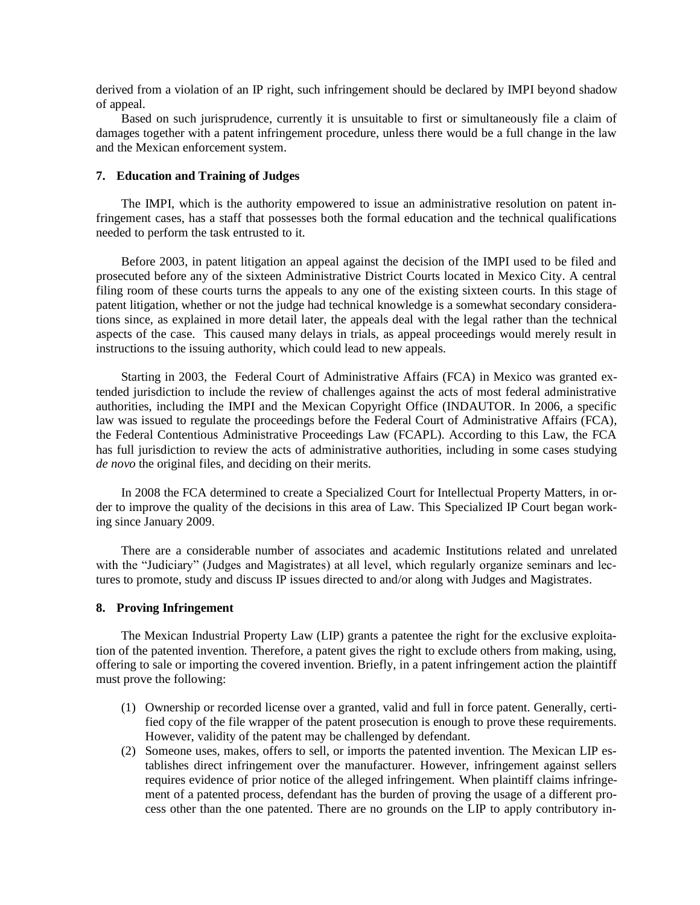derived from a violation of an IP right, such infringement should be declared by IMPI beyond shadow of appeal.

Based on such jurisprudence, currently it is unsuitable to first or simultaneously file a claim of damages together with a patent infringement procedure, unless there would be a full change in the law and the Mexican enforcement system.

# **7. Education and Training of Judges**

The IMPI, which is the authority empowered to issue an administrative resolution on patent infringement cases, has a staff that possesses both the formal education and the technical qualifications needed to perform the task entrusted to it.

Before 2003, in patent litigation an appeal against the decision of the IMPI used to be filed and prosecuted before any of the sixteen Administrative District Courts located in Mexico City. A central filing room of these courts turns the appeals to any one of the existing sixteen courts. In this stage of patent litigation, whether or not the judge had technical knowledge is a somewhat secondary considerations since, as explained in more detail later, the appeals deal with the legal rather than the technical aspects of the case. This caused many delays in trials, as appeal proceedings would merely result in instructions to the issuing authority, which could lead to new appeals.

Starting in 2003, the Federal Court of Administrative Affairs (FCA) in Mexico was granted extended jurisdiction to include the review of challenges against the acts of most federal administrative authorities, including the IMPI and the Mexican Copyright Office (INDAUTOR. In 2006, a specific law was issued to regulate the proceedings before the Federal Court of Administrative Affairs (FCA), the Federal Contentious Administrative Proceedings Law (FCAPL). According to this Law, the FCA has full jurisdiction to review the acts of administrative authorities, including in some cases studying *de novo* the original files, and deciding on their merits.

In 2008 the FCA determined to create a Specialized Court for Intellectual Property Matters, in order to improve the quality of the decisions in this area of Law. This Specialized IP Court began working since January 2009.

There are a considerable number of associates and academic Institutions related and unrelated with the "Judiciary" (Judges and Magistrates) at all level, which regularly organize seminars and lectures to promote, study and discuss IP issues directed to and/or along with Judges and Magistrates.

### **8. Proving Infringement**

The Mexican Industrial Property Law (LIP) grants a patentee the right for the exclusive exploitation of the patented invention. Therefore, a patent gives the right to exclude others from making, using, offering to sale or importing the covered invention. Briefly, in a patent infringement action the plaintiff must prove the following:

- (1) Ownership or recorded license over a granted, valid and full in force patent. Generally, certified copy of the file wrapper of the patent prosecution is enough to prove these requirements. However, validity of the patent may be challenged by defendant.
- (2) Someone uses, makes, offers to sell, or imports the patented invention. The Mexican LIP establishes direct infringement over the manufacturer. However, infringement against sellers requires evidence of prior notice of the alleged infringement. When plaintiff claims infringement of a patented process, defendant has the burden of proving the usage of a different process other than the one patented. There are no grounds on the LIP to apply contributory in-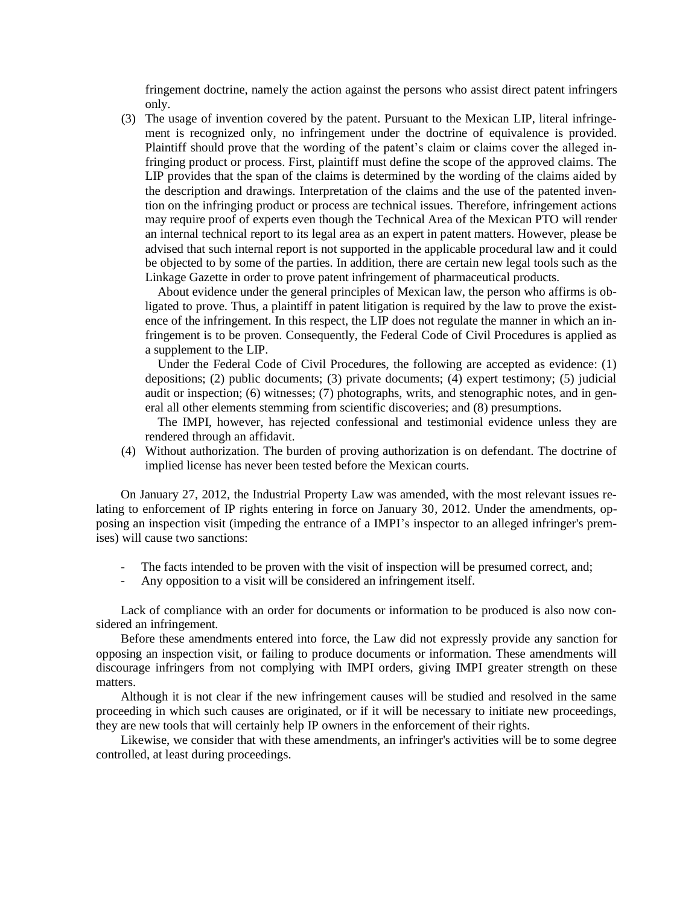fringement doctrine, namely the action against the persons who assist direct patent infringers only.

(3) The usage of invention covered by the patent. Pursuant to the Mexican LIP, literal infringement is recognized only, no infringement under the doctrine of equivalence is provided. Plaintiff should prove that the wording of the patent's claim or claims cover the alleged infringing product or process. First, plaintiff must define the scope of the approved claims. The LIP provides that the span of the claims is determined by the wording of the claims aided by the description and drawings. Interpretation of the claims and the use of the patented invention on the infringing product or process are technical issues. Therefore, infringement actions may require proof of experts even though the Technical Area of the Mexican PTO will render an internal technical report to its legal area as an expert in patent matters. However, please be advised that such internal report is not supported in the applicable procedural law and it could be objected to by some of the parties. In addition, there are certain new legal tools such as the Linkage Gazette in order to prove patent infringement of pharmaceutical products.

About evidence under the general principles of Mexican law, the person who affirms is obligated to prove. Thus, a plaintiff in patent litigation is required by the law to prove the existence of the infringement. In this respect, the LIP does not regulate the manner in which an infringement is to be proven. Consequently, the Federal Code of Civil Procedures is applied as a supplement to the LIP.

Under the Federal Code of Civil Procedures, the following are accepted as evidence: (1) depositions; (2) public documents; (3) private documents; (4) expert testimony; (5) judicial audit or inspection; (6) witnesses; (7) photographs, writs, and stenographic notes, and in general all other elements stemming from scientific discoveries; and (8) presumptions.

The IMPI, however, has rejected confessional and testimonial evidence unless they are rendered through an affidavit.

(4) Without authorization. The burden of proving authorization is on defendant. The doctrine of implied license has never been tested before the Mexican courts.

On January 27, 2012, the Industrial Property Law was amended, with the most relevant issues relating to enforcement of IP rights entering in force on January 30, 2012. Under the amendments, opposing an inspection visit (impeding the entrance of a IMPI's inspector to an alleged infringer's premises) will cause two sanctions:

- The facts intended to be proven with the visit of inspection will be presumed correct, and;
- Any opposition to a visit will be considered an infringement itself.

Lack of compliance with an order for documents or information to be produced is also now considered an infringement.

Before these amendments entered into force, the Law did not expressly provide any sanction for opposing an inspection visit, or failing to produce documents or information. These amendments will discourage infringers from not complying with IMPI orders, giving IMPI greater strength on these matters.

Although it is not clear if the new infringement causes will be studied and resolved in the same proceeding in which such causes are originated, or if it will be necessary to initiate new proceedings, they are new tools that will certainly help IP owners in the enforcement of their rights.

Likewise, we consider that with these amendments, an infringer's activities will be to some degree controlled, at least during proceedings.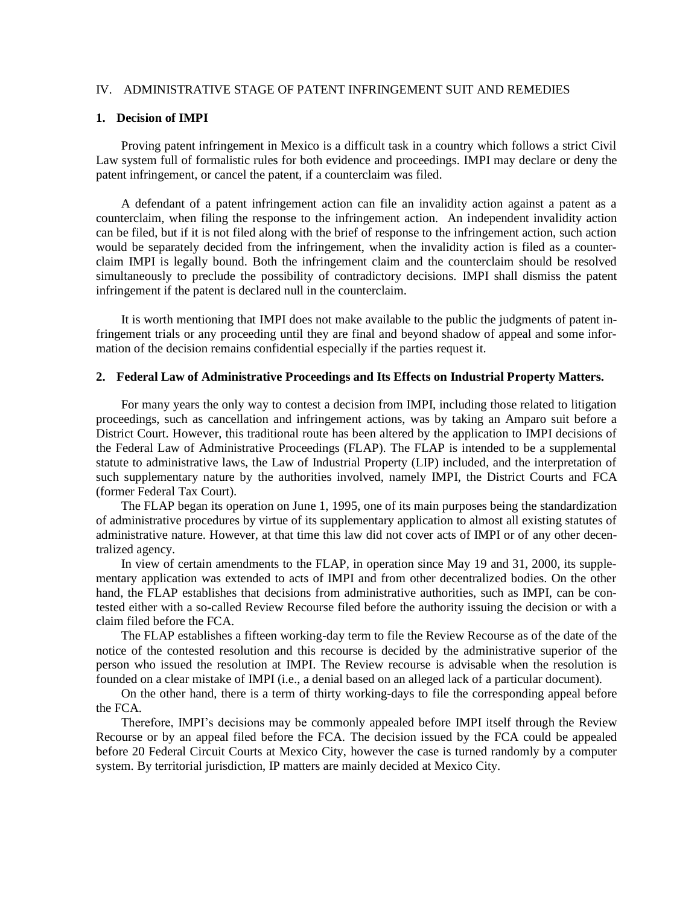# IV. ADMINISTRATIVE STAGE OF PATENT INFRINGEMENT SUIT AND REMEDIES

#### **1. Decision of IMPI**

Proving patent infringement in Mexico is a difficult task in a country which follows a strict Civil Law system full of formalistic rules for both evidence and proceedings. IMPI may declare or deny the patent infringement, or cancel the patent, if a counterclaim was filed.

A defendant of a patent infringement action can file an invalidity action against a patent as a counterclaim, when filing the response to the infringement action. An independent invalidity action can be filed, but if it is not filed along with the brief of response to the infringement action, such action would be separately decided from the infringement, when the invalidity action is filed as a counterclaim IMPI is legally bound. Both the infringement claim and the counterclaim should be resolved simultaneously to preclude the possibility of contradictory decisions. IMPI shall dismiss the patent infringement if the patent is declared null in the counterclaim.

It is worth mentioning that IMPI does not make available to the public the judgments of patent infringement trials or any proceeding until they are final and beyond shadow of appeal and some information of the decision remains confidential especially if the parties request it.

### **2. Federal Law of Administrative Proceedings and Its Effects on Industrial Property Matters.**

For many years the only way to contest a decision from IMPI, including those related to litigation proceedings, such as cancellation and infringement actions, was by taking an Amparo suit before a District Court. However, this traditional route has been altered by the application to IMPI decisions of the Federal Law of Administrative Proceedings (FLAP). The FLAP is intended to be a supplemental statute to administrative laws, the Law of Industrial Property (LIP) included, and the interpretation of such supplementary nature by the authorities involved, namely IMPI, the District Courts and FCA (former Federal Tax Court).

The FLAP began its operation on June 1, 1995, one of its main purposes being the standardization of administrative procedures by virtue of its supplementary application to almost all existing statutes of administrative nature. However, at that time this law did not cover acts of IMPI or of any other decentralized agency.

In view of certain amendments to the FLAP, in operation since May 19 and 31, 2000, its supplementary application was extended to acts of IMPI and from other decentralized bodies. On the other hand, the FLAP establishes that decisions from administrative authorities, such as IMPI, can be contested either with a so-called Review Recourse filed before the authority issuing the decision or with a claim filed before the FCA.

The FLAP establishes a fifteen working-day term to file the Review Recourse as of the date of the notice of the contested resolution and this recourse is decided by the administrative superior of the person who issued the resolution at IMPI. The Review recourse is advisable when the resolution is founded on a clear mistake of IMPI (i.e., a denial based on an alleged lack of a particular document).

On the other hand, there is a term of thirty working-days to file the corresponding appeal before the FCA.

Therefore, IMPI's decisions may be commonly appealed before IMPI itself through the Review Recourse or by an appeal filed before the FCA. The decision issued by the FCA could be appealed before 20 Federal Circuit Courts at Mexico City, however the case is turned randomly by a computer system. By territorial jurisdiction, IP matters are mainly decided at Mexico City.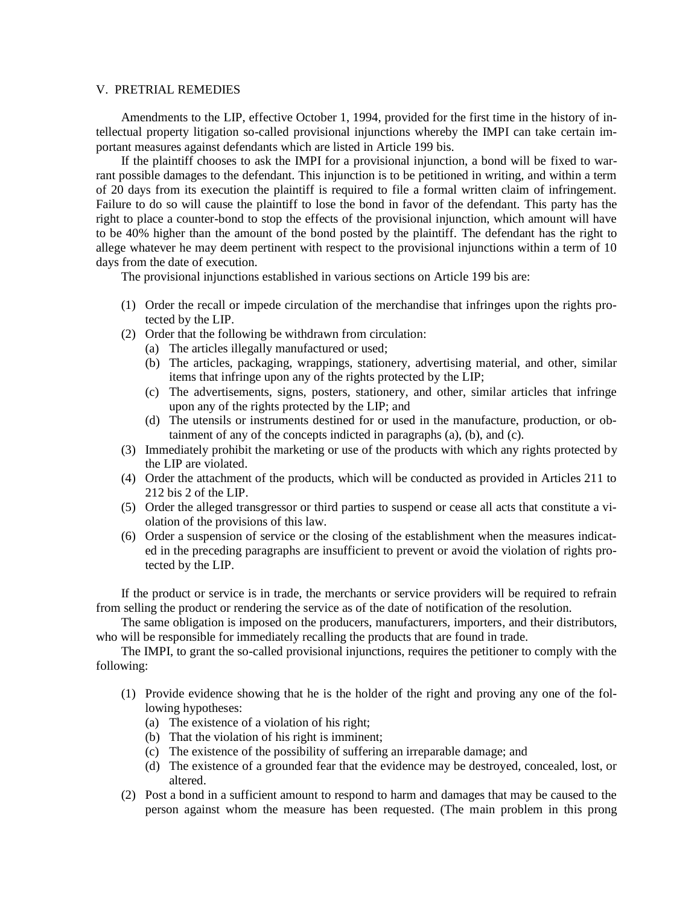### V. PRETRIAL REMEDIES

Amendments to the LIP, effective October 1, 1994, provided for the first time in the history of intellectual property litigation so-called provisional injunctions whereby the IMPI can take certain important measures against defendants which are listed in Article 199 bis.

If the plaintiff chooses to ask the IMPI for a provisional injunction, a bond will be fixed to warrant possible damages to the defendant. This injunction is to be petitioned in writing, and within a term of 20 days from its execution the plaintiff is required to file a formal written claim of infringement. Failure to do so will cause the plaintiff to lose the bond in favor of the defendant. This party has the right to place a counter-bond to stop the effects of the provisional injunction, which amount will have to be 40% higher than the amount of the bond posted by the plaintiff. The defendant has the right to allege whatever he may deem pertinent with respect to the provisional injunctions within a term of 10 days from the date of execution.

The provisional injunctions established in various sections on Article 199 bis are:

- (1) Order the recall or impede circulation of the merchandise that infringes upon the rights protected by the LIP.
- (2) Order that the following be withdrawn from circulation:
	- (a) The articles illegally manufactured or used;
	- (b) The articles, packaging, wrappings, stationery, advertising material, and other, similar items that infringe upon any of the rights protected by the LIP;
	- (c) The advertisements, signs, posters, stationery, and other, similar articles that infringe upon any of the rights protected by the LIP; and
	- (d) The utensils or instruments destined for or used in the manufacture, production, or obtainment of any of the concepts indicted in paragraphs (a), (b), and (c).
- (3) Immediately prohibit the marketing or use of the products with which any rights protected by the LIP are violated.
- (4) Order the attachment of the products, which will be conducted as provided in Articles 211 to 212 bis 2 of the LIP.
- (5) Order the alleged transgressor or third parties to suspend or cease all acts that constitute a violation of the provisions of this law.
- (6) Order a suspension of service or the closing of the establishment when the measures indicated in the preceding paragraphs are insufficient to prevent or avoid the violation of rights protected by the LIP.

If the product or service is in trade, the merchants or service providers will be required to refrain from selling the product or rendering the service as of the date of notification of the resolution.

The same obligation is imposed on the producers, manufacturers, importers, and their distributors, who will be responsible for immediately recalling the products that are found in trade.

The IMPI, to grant the so-called provisional injunctions, requires the petitioner to comply with the following:

- (1) Provide evidence showing that he is the holder of the right and proving any one of the following hypotheses:
	- (a) The existence of a violation of his right;
	- (b) That the violation of his right is imminent;
	- (c) The existence of the possibility of suffering an irreparable damage; and
	- (d) The existence of a grounded fear that the evidence may be destroyed, concealed, lost, or altered.
- (2) Post a bond in a sufficient amount to respond to harm and damages that may be caused to the person against whom the measure has been requested. (The main problem in this prong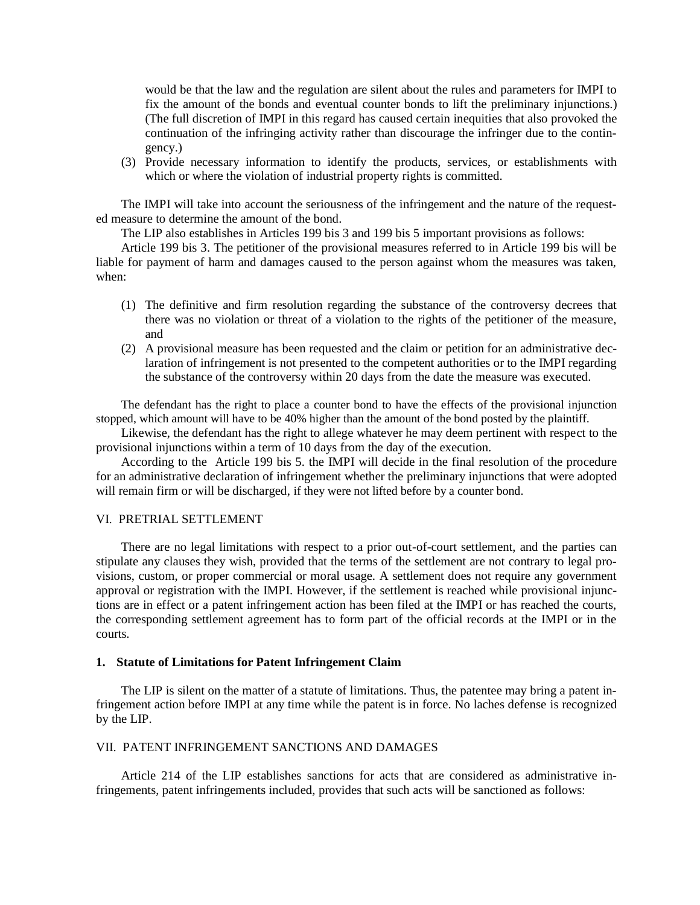would be that the law and the regulation are silent about the rules and parameters for IMPI to fix the amount of the bonds and eventual counter bonds to lift the preliminary injunctions.) (The full discretion of IMPI in this regard has caused certain inequities that also provoked the continuation of the infringing activity rather than discourage the infringer due to the contingency.)

(3) Provide necessary information to identify the products, services, or establishments with which or where the violation of industrial property rights is committed.

The IMPI will take into account the seriousness of the infringement and the nature of the requested measure to determine the amount of the bond.

The LIP also establishes in Articles 199 bis 3 and 199 bis 5 important provisions as follows:

Article 199 bis 3. The petitioner of the provisional measures referred to in Article 199 bis will be liable for payment of harm and damages caused to the person against whom the measures was taken, when:

- (1) The definitive and firm resolution regarding the substance of the controversy decrees that there was no violation or threat of a violation to the rights of the petitioner of the measure, and
- (2) A provisional measure has been requested and the claim or petition for an administrative declaration of infringement is not presented to the competent authorities or to the IMPI regarding the substance of the controversy within 20 days from the date the measure was executed.

The defendant has the right to place a counter bond to have the effects of the provisional injunction stopped, which amount will have to be 40% higher than the amount of the bond posted by the plaintiff.

Likewise, the defendant has the right to allege whatever he may deem pertinent with respect to the provisional injunctions within a term of 10 days from the day of the execution.

According to the Article 199 bis 5. the IMPI will decide in the final resolution of the procedure for an administrative declaration of infringement whether the preliminary injunctions that were adopted will remain firm or will be discharged, if they were not lifted before by a counter bond.

#### VI. PRETRIAL SETTLEMENT

There are no legal limitations with respect to a prior out-of-court settlement, and the parties can stipulate any clauses they wish, provided that the terms of the settlement are not contrary to legal provisions, custom, or proper commercial or moral usage. A settlement does not require any government approval or registration with the IMPI. However, if the settlement is reached while provisional injunctions are in effect or a patent infringement action has been filed at the IMPI or has reached the courts, the corresponding settlement agreement has to form part of the official records at the IMPI or in the courts.

### **1. Statute of Limitations for Patent Infringement Claim**

The LIP is silent on the matter of a statute of limitations. Thus, the patentee may bring a patent infringement action before IMPI at any time while the patent is in force. No laches defense is recognized by the LIP.

### VII. PATENT INFRINGEMENT SANCTIONS AND DAMAGES

Article 214 of the LIP establishes sanctions for acts that are considered as administrative infringements, patent infringements included, provides that such acts will be sanctioned as follows: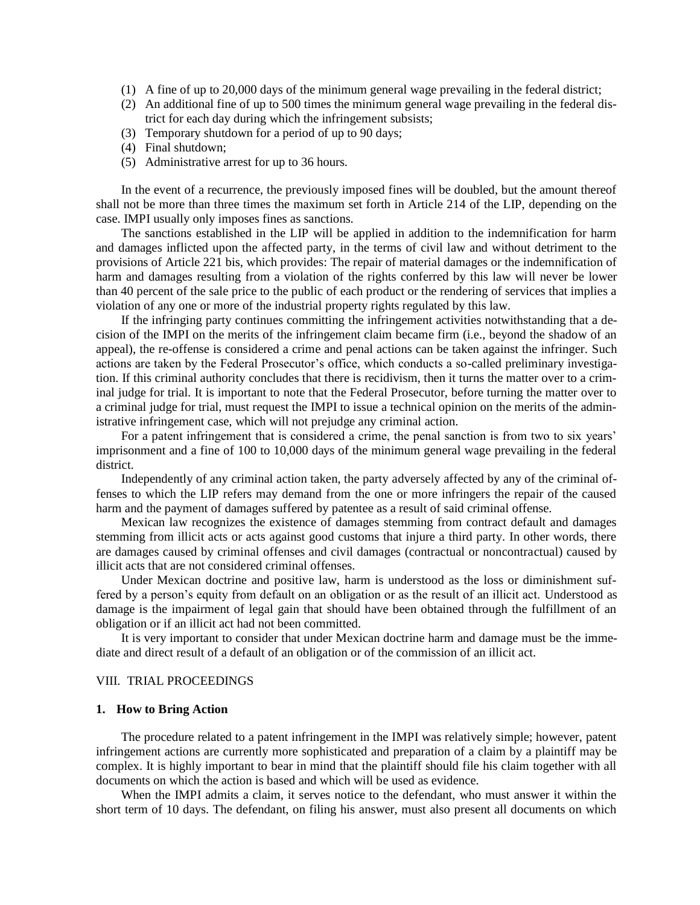- (1) A fine of up to 20,000 days of the minimum general wage prevailing in the federal district;
- (2) An additional fine of up to 500 times the minimum general wage prevailing in the federal district for each day during which the infringement subsists;
- (3) Temporary shutdown for a period of up to 90 days;
- (4) Final shutdown;
- (5) Administrative arrest for up to 36 hours.

In the event of a recurrence, the previously imposed fines will be doubled, but the amount thereof shall not be more than three times the maximum set forth in Article 214 of the LIP, depending on the case. IMPI usually only imposes fines as sanctions.

The sanctions established in the LIP will be applied in addition to the indemnification for harm and damages inflicted upon the affected party, in the terms of civil law and without detriment to the provisions of Article 221 bis, which provides: The repair of material damages or the indemnification of harm and damages resulting from a violation of the rights conferred by this law will never be lower than 40 percent of the sale price to the public of each product or the rendering of services that implies a violation of any one or more of the industrial property rights regulated by this law.

If the infringing party continues committing the infringement activities notwithstanding that a decision of the IMPI on the merits of the infringement claim became firm (i.e., beyond the shadow of an appeal), the re-offense is considered a crime and penal actions can be taken against the infringer. Such actions are taken by the Federal Prosecutor's office, which conducts a so-called preliminary investigation. If this criminal authority concludes that there is recidivism, then it turns the matter over to a criminal judge for trial. It is important to note that the Federal Prosecutor, before turning the matter over to a criminal judge for trial, must request the IMPI to issue a technical opinion on the merits of the administrative infringement case, which will not prejudge any criminal action.

For a patent infringement that is considered a crime, the penal sanction is from two to six years' imprisonment and a fine of 100 to 10,000 days of the minimum general wage prevailing in the federal district.

Independently of any criminal action taken, the party adversely affected by any of the criminal offenses to which the LIP refers may demand from the one or more infringers the repair of the caused harm and the payment of damages suffered by patentee as a result of said criminal offense.

Mexican law recognizes the existence of damages stemming from contract default and damages stemming from illicit acts or acts against good customs that injure a third party. In other words, there are damages caused by criminal offenses and civil damages (contractual or noncontractual) caused by illicit acts that are not considered criminal offenses.

Under Mexican doctrine and positive law, harm is understood as the loss or diminishment suffered by a person's equity from default on an obligation or as the result of an illicit act. Understood as damage is the impairment of legal gain that should have been obtained through the fulfillment of an obligation or if an illicit act had not been committed.

It is very important to consider that under Mexican doctrine harm and damage must be the immediate and direct result of a default of an obligation or of the commission of an illicit act.

## VIII. TRIAL PROCEEDINGS

#### **1. How to Bring Action**

The procedure related to a patent infringement in the IMPI was relatively simple; however, patent infringement actions are currently more sophisticated and preparation of a claim by a plaintiff may be complex. It is highly important to bear in mind that the plaintiff should file his claim together with all documents on which the action is based and which will be used as evidence.

When the IMPI admits a claim, it serves notice to the defendant, who must answer it within the short term of 10 days. The defendant, on filing his answer, must also present all documents on which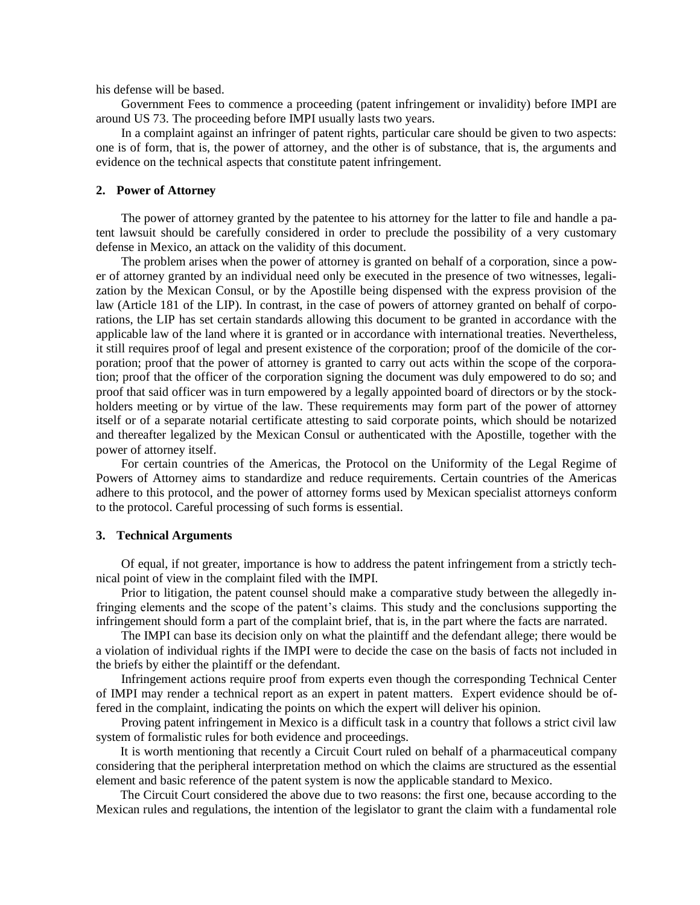his defense will be based.

Government Fees to commence a proceeding (patent infringement or invalidity) before IMPI are around US 73. The proceeding before IMPI usually lasts two years.

In a complaint against an infringer of patent rights, particular care should be given to two aspects: one is of form, that is, the power of attorney, and the other is of substance, that is, the arguments and evidence on the technical aspects that constitute patent infringement.

#### **2. Power of Attorney**

The power of attorney granted by the patentee to his attorney for the latter to file and handle a patent lawsuit should be carefully considered in order to preclude the possibility of a very customary defense in Mexico, an attack on the validity of this document.

The problem arises when the power of attorney is granted on behalf of a corporation, since a power of attorney granted by an individual need only be executed in the presence of two witnesses, legalization by the Mexican Consul, or by the Apostille being dispensed with the express provision of the law (Article 181 of the LIP). In contrast, in the case of powers of attorney granted on behalf of corporations, the LIP has set certain standards allowing this document to be granted in accordance with the applicable law of the land where it is granted or in accordance with international treaties. Nevertheless, it still requires proof of legal and present existence of the corporation; proof of the domicile of the corporation; proof that the power of attorney is granted to carry out acts within the scope of the corporation; proof that the officer of the corporation signing the document was duly empowered to do so; and proof that said officer was in turn empowered by a legally appointed board of directors or by the stockholders meeting or by virtue of the law. These requirements may form part of the power of attorney itself or of a separate notarial certificate attesting to said corporate points, which should be notarized and thereafter legalized by the Mexican Consul or authenticated with the Apostille, together with the power of attorney itself.

For certain countries of the Americas, the Protocol on the Uniformity of the Legal Regime of Powers of Attorney aims to standardize and reduce requirements. Certain countries of the Americas adhere to this protocol, and the power of attorney forms used by Mexican specialist attorneys conform to the protocol. Careful processing of such forms is essential.

### **3. Technical Arguments**

Of equal, if not greater, importance is how to address the patent infringement from a strictly technical point of view in the complaint filed with the IMPI.

Prior to litigation, the patent counsel should make a comparative study between the allegedly infringing elements and the scope of the patent's claims. This study and the conclusions supporting the infringement should form a part of the complaint brief, that is, in the part where the facts are narrated.

The IMPI can base its decision only on what the plaintiff and the defendant allege; there would be a violation of individual rights if the IMPI were to decide the case on the basis of facts not included in the briefs by either the plaintiff or the defendant.

Infringement actions require proof from experts even though the corresponding Technical Center of IMPI may render a technical report as an expert in patent matters. Expert evidence should be offered in the complaint, indicating the points on which the expert will deliver his opinion.

Proving patent infringement in Mexico is a difficult task in a country that follows a strict civil law system of formalistic rules for both evidence and proceedings.

It is worth mentioning that recently a Circuit Court ruled on behalf of a pharmaceutical company considering that the peripheral interpretation method on which the claims are structured as the essential element and basic reference of the patent system is now the applicable standard to Mexico.

The Circuit Court considered the above due to two reasons: the first one, because according to the Mexican rules and regulations, the intention of the legislator to grant the claim with a fundamental role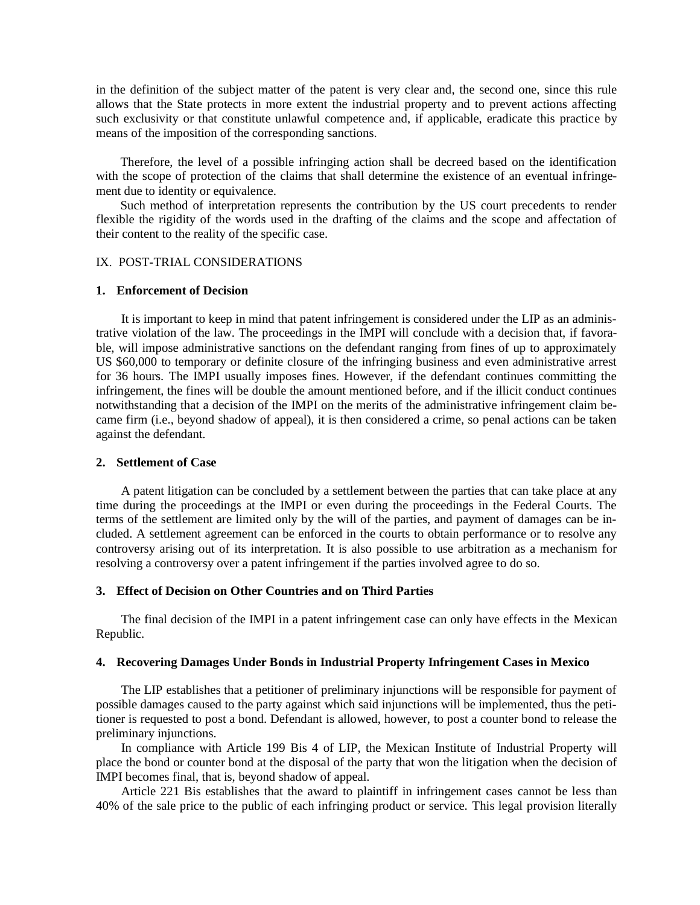in the definition of the subject matter of the patent is very clear and, the second one, since this rule allows that the State protects in more extent the industrial property and to prevent actions affecting such exclusivity or that constitute unlawful competence and, if applicable, eradicate this practice by means of the imposition of the corresponding sanctions.

Therefore, the level of a possible infringing action shall be decreed based on the identification with the scope of protection of the claims that shall determine the existence of an eventual infringement due to identity or equivalence.

Such method of interpretation represents the contribution by the US court precedents to render flexible the rigidity of the words used in the drafting of the claims and the scope and affectation of their content to the reality of the specific case.

### IX. POST-TRIAL CONSIDERATIONS

#### **1. Enforcement of Decision**

It is important to keep in mind that patent infringement is considered under the LIP as an administrative violation of the law. The proceedings in the IMPI will conclude with a decision that, if favorable, will impose administrative sanctions on the defendant ranging from fines of up to approximately US \$60,000 to temporary or definite closure of the infringing business and even administrative arrest for 36 hours. The IMPI usually imposes fines. However, if the defendant continues committing the infringement, the fines will be double the amount mentioned before, and if the illicit conduct continues notwithstanding that a decision of the IMPI on the merits of the administrative infringement claim became firm (i.e., beyond shadow of appeal), it is then considered a crime, so penal actions can be taken against the defendant.

#### **2. Settlement of Case**

A patent litigation can be concluded by a settlement between the parties that can take place at any time during the proceedings at the IMPI or even during the proceedings in the Federal Courts. The terms of the settlement are limited only by the will of the parties, and payment of damages can be included. A settlement agreement can be enforced in the courts to obtain performance or to resolve any controversy arising out of its interpretation. It is also possible to use arbitration as a mechanism for resolving a controversy over a patent infringement if the parties involved agree to do so.

# **3. Effect of Decision on Other Countries and on Third Parties**

The final decision of the IMPI in a patent infringement case can only have effects in the Mexican Republic.

# **4. Recovering Damages Under Bonds in Industrial Property Infringement Cases in Mexico**

The LIP establishes that a petitioner of preliminary injunctions will be responsible for payment of possible damages caused to the party against which said injunctions will be implemented, thus the petitioner is requested to post a bond. Defendant is allowed, however, to post a counter bond to release the preliminary injunctions.

In compliance with Article 199 Bis 4 of LIP, the Mexican Institute of Industrial Property will place the bond or counter bond at the disposal of the party that won the litigation when the decision of IMPI becomes final, that is, beyond shadow of appeal.

Article 221 Bis establishes that the award to plaintiff in infringement cases cannot be less than 40% of the sale price to the public of each infringing product or service. This legal provision literally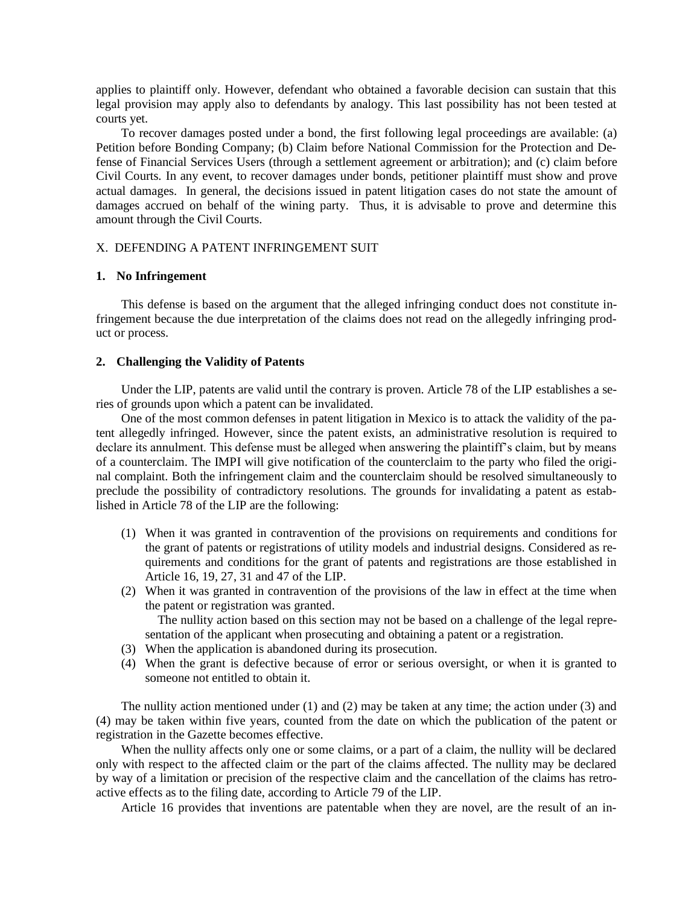applies to plaintiff only. However, defendant who obtained a favorable decision can sustain that this legal provision may apply also to defendants by analogy. This last possibility has not been tested at courts yet.

To recover damages posted under a bond, the first following legal proceedings are available: (a) Petition before Bonding Company; (b) Claim before National Commission for the Protection and Defense of Financial Services Users (through a settlement agreement or arbitration); and (c) claim before Civil Courts. In any event, to recover damages under bonds, petitioner plaintiff must show and prove actual damages. In general, the decisions issued in patent litigation cases do not state the amount of damages accrued on behalf of the wining party. Thus, it is advisable to prove and determine this amount through the Civil Courts.

# X. DEFENDING A PATENT INFRINGEMENT SUIT

# **1. No Infringement**

This defense is based on the argument that the alleged infringing conduct does not constitute infringement because the due interpretation of the claims does not read on the allegedly infringing product or process.

### **2. Challenging the Validity of Patents**

Under the LIP, patents are valid until the contrary is proven. Article 78 of the LIP establishes a series of grounds upon which a patent can be invalidated.

One of the most common defenses in patent litigation in Mexico is to attack the validity of the patent allegedly infringed. However, since the patent exists, an administrative resolution is required to declare its annulment. This defense must be alleged when answering the plaintiff's claim, but by means of a counterclaim. The IMPI will give notification of the counterclaim to the party who filed the original complaint. Both the infringement claim and the counterclaim should be resolved simultaneously to preclude the possibility of contradictory resolutions. The grounds for invalidating a patent as established in Article 78 of the LIP are the following:

- (1) When it was granted in contravention of the provisions on requirements and conditions for the grant of patents or registrations of utility models and industrial designs. Considered as requirements and conditions for the grant of patents and registrations are those established in Article 16, 19, 27, 31 and 47 of the LIP.
- (2) When it was granted in contravention of the provisions of the law in effect at the time when the patent or registration was granted.

The nullity action based on this section may not be based on a challenge of the legal representation of the applicant when prosecuting and obtaining a patent or a registration.

- (3) When the application is abandoned during its prosecution.
- (4) When the grant is defective because of error or serious oversight, or when it is granted to someone not entitled to obtain it.

The nullity action mentioned under (1) and (2) may be taken at any time; the action under (3) and (4) may be taken within five years, counted from the date on which the publication of the patent or registration in the Gazette becomes effective.

When the nullity affects only one or some claims, or a part of a claim, the nullity will be declared only with respect to the affected claim or the part of the claims affected. The nullity may be declared by way of a limitation or precision of the respective claim and the cancellation of the claims has retroactive effects as to the filing date, according to Article 79 of the LIP.

Article 16 provides that inventions are patentable when they are novel, are the result of an in-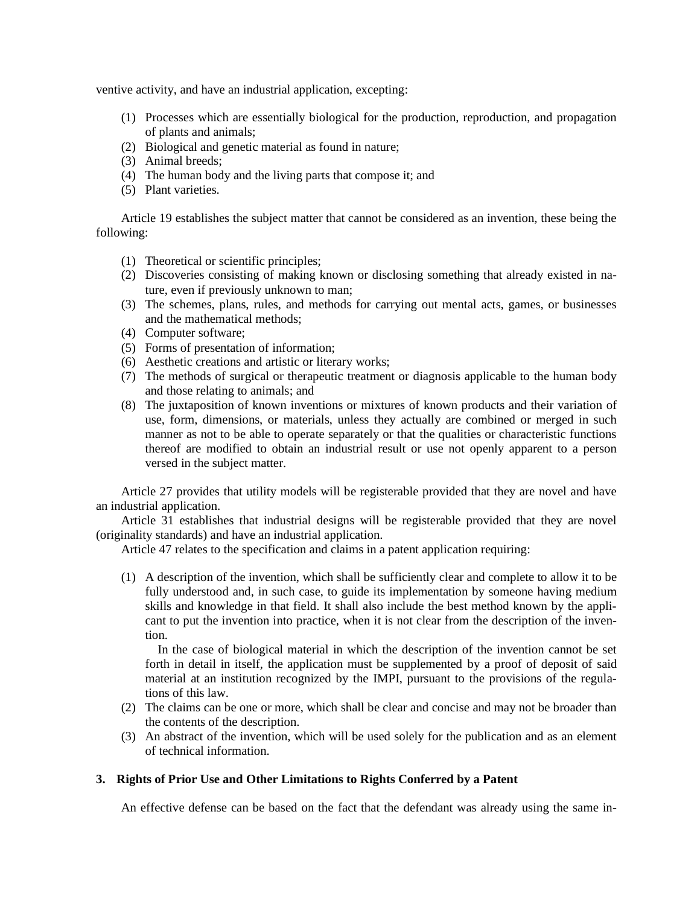ventive activity, and have an industrial application, excepting:

- (1) Processes which are essentially biological for the production, reproduction, and propagation of plants and animals;
- (2) Biological and genetic material as found in nature;
- (3) Animal breeds;
- (4) The human body and the living parts that compose it; and
- (5) Plant varieties.

Article 19 establishes the subject matter that cannot be considered as an invention, these being the following:

- (1) Theoretical or scientific principles;
- (2) Discoveries consisting of making known or disclosing something that already existed in nature, even if previously unknown to man;
- (3) The schemes, plans, rules, and methods for carrying out mental acts, games, or businesses and the mathematical methods;
- (4) Computer software;
- (5) Forms of presentation of information;
- (6) Aesthetic creations and artistic or literary works;
- (7) The methods of surgical or therapeutic treatment or diagnosis applicable to the human body and those relating to animals; and
- (8) The juxtaposition of known inventions or mixtures of known products and their variation of use, form, dimensions, or materials, unless they actually are combined or merged in such manner as not to be able to operate separately or that the qualities or characteristic functions thereof are modified to obtain an industrial result or use not openly apparent to a person versed in the subject matter.

Article 27 provides that utility models will be registerable provided that they are novel and have an industrial application.

Article 31 establishes that industrial designs will be registerable provided that they are novel (originality standards) and have an industrial application.

Article 47 relates to the specification and claims in a patent application requiring:

(1) A description of the invention, which shall be sufficiently clear and complete to allow it to be fully understood and, in such case, to guide its implementation by someone having medium skills and knowledge in that field. It shall also include the best method known by the applicant to put the invention into practice, when it is not clear from the description of the invention.

In the case of biological material in which the description of the invention cannot be set forth in detail in itself, the application must be supplemented by a proof of deposit of said material at an institution recognized by the IMPI, pursuant to the provisions of the regulations of this law.

- (2) The claims can be one or more, which shall be clear and concise and may not be broader than the contents of the description.
- (3) An abstract of the invention, which will be used solely for the publication and as an element of technical information.

# **3. Rights of Prior Use and Other Limitations to Rights Conferred by a Patent**

An effective defense can be based on the fact that the defendant was already using the same in-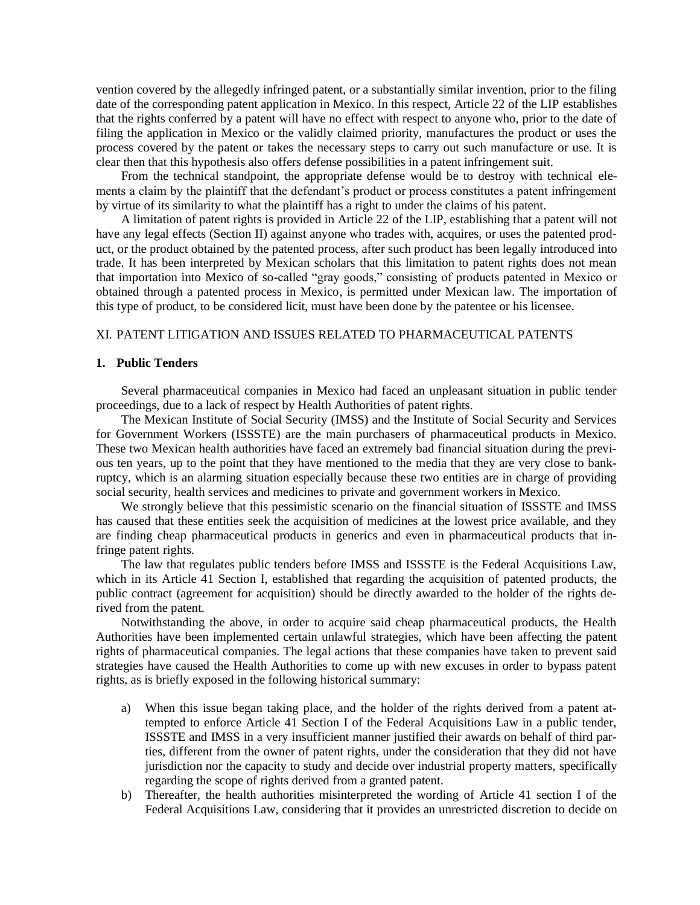vention covered by the allegedly infringed patent, or a substantially similar invention, prior to the filing date of the corresponding patent application in Mexico. In this respect, Article 22 of the LIP establishes that the rights conferred by a patent will have no effect with respect to anyone who, prior to the date of filing the application in Mexico or the validly claimed priority, manufactures the product or uses the process covered by the patent or takes the necessary steps to carry out such manufacture or use. It is clear then that this hypothesis also offers defense possibilities in a patent infringement suit.

From the technical standpoint, the appropriate defense would be to destroy with technical elements a claim by the plaintiff that the defendant's product or process constitutes a patent infringement by virtue of its similarity to what the plaintiff has a right to under the claims of his patent.

A limitation of patent rights is provided in Article 22 of the LIP, establishing that a patent will not have any legal effects (Section II) against anyone who trades with, acquires, or uses the patented product, or the product obtained by the patented process, after such product has been legally introduced into trade. It has been interpreted by Mexican scholars that this limitation to patent rights does not mean that importation into Mexico of so-called "gray goods," consisting of products patented in Mexico or obtained through a patented process in Mexico, is permitted under Mexican law. The importation of this type of product, to be considered licit, must have been done by the patentee or his licensee.

# XI. PATENT LITIGATION AND ISSUES RELATED TO PHARMACEUTICAL PATENTS

### **1. Public Tenders**

Several pharmaceutical companies in Mexico had faced an unpleasant situation in public tender proceedings, due to a lack of respect by Health Authorities of patent rights.

The Mexican Institute of Social Security (IMSS) and the Institute of Social Security and Services for Government Workers (ISSSTE) are the main purchasers of pharmaceutical products in Mexico. These two Mexican health authorities have faced an extremely bad financial situation during the previous ten years, up to the point that they have mentioned to the media that they are very close to bankruptcy, which is an alarming situation especially because these two entities are in charge of providing social security, health services and medicines to private and government workers in Mexico.

We strongly believe that this pessimistic scenario on the financial situation of ISSSTE and IMSS has caused that these entities seek the acquisition of medicines at the lowest price available, and they are finding cheap pharmaceutical products in generics and even in pharmaceutical products that infringe patent rights.

The law that regulates public tenders before IMSS and ISSSTE is the Federal Acquisitions Law, which in its Article 41 Section I, established that regarding the acquisition of patented products, the public contract (agreement for acquisition) should be directly awarded to the holder of the rights derived from the patent.

Notwithstanding the above, in order to acquire said cheap pharmaceutical products, the Health Authorities have been implemented certain unlawful strategies, which have been affecting the patent rights of pharmaceutical companies. The legal actions that these companies have taken to prevent said strategies have caused the Health Authorities to come up with new excuses in order to bypass patent rights, as is briefly exposed in the following historical summary:

- a) When this issue began taking place, and the holder of the rights derived from a patent attempted to enforce Article 41 Section I of the Federal Acquisitions Law in a public tender, ISSSTE and IMSS in a very insufficient manner justified their awards on behalf of third parties, different from the owner of patent rights, under the consideration that they did not have jurisdiction nor the capacity to study and decide over industrial property matters, specifically regarding the scope of rights derived from a granted patent.
- b) Thereafter, the health authorities misinterpreted the wording of Article 41 section I of the Federal Acquisitions Law, considering that it provides an unrestricted discretion to decide on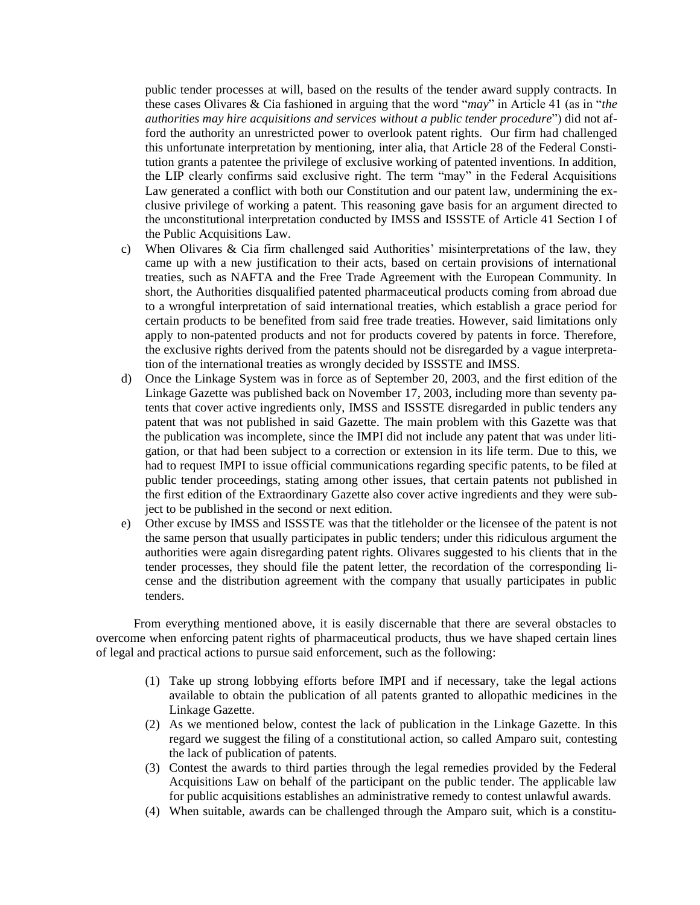public tender processes at will, based on the results of the tender award supply contracts. In these cases Olivares & Cia fashioned in arguing that the word "*may*" in Article 41 (as in "*the authorities may hire acquisitions and services without a public tender procedure*") did not afford the authority an unrestricted power to overlook patent rights. Our firm had challenged this unfortunate interpretation by mentioning, inter alia, that Article 28 of the Federal Constitution grants a patentee the privilege of exclusive working of patented inventions. In addition, the LIP clearly confirms said exclusive right. The term "may" in the Federal Acquisitions Law generated a conflict with both our Constitution and our patent law, undermining the exclusive privilege of working a patent. This reasoning gave basis for an argument directed to the unconstitutional interpretation conducted by IMSS and ISSSTE of Article 41 Section I of the Public Acquisitions Law.

- c) When Olivares & Cia firm challenged said Authorities' misinterpretations of the law, they came up with a new justification to their acts, based on certain provisions of international treaties, such as NAFTA and the Free Trade Agreement with the European Community. In short, the Authorities disqualified patented pharmaceutical products coming from abroad due to a wrongful interpretation of said international treaties, which establish a grace period for certain products to be benefited from said free trade treaties. However, said limitations only apply to non-patented products and not for products covered by patents in force. Therefore, the exclusive rights derived from the patents should not be disregarded by a vague interpretation of the international treaties as wrongly decided by ISSSTE and IMSS.
- d) Once the Linkage System was in force as of September 20, 2003, and the first edition of the Linkage Gazette was published back on November 17, 2003, including more than seventy patents that cover active ingredients only, IMSS and ISSSTE disregarded in public tenders any patent that was not published in said Gazette. The main problem with this Gazette was that the publication was incomplete, since the IMPI did not include any patent that was under litigation, or that had been subject to a correction or extension in its life term. Due to this, we had to request IMPI to issue official communications regarding specific patents, to be filed at public tender proceedings, stating among other issues, that certain patents not published in the first edition of the Extraordinary Gazette also cover active ingredients and they were subject to be published in the second or next edition.
- e) Other excuse by IMSS and ISSSTE was that the titleholder or the licensee of the patent is not the same person that usually participates in public tenders; under this ridiculous argument the authorities were again disregarding patent rights. Olivares suggested to his clients that in the tender processes, they should file the patent letter, the recordation of the corresponding license and the distribution agreement with the company that usually participates in public tenders.

From everything mentioned above, it is easily discernable that there are several obstacles to overcome when enforcing patent rights of pharmaceutical products, thus we have shaped certain lines of legal and practical actions to pursue said enforcement, such as the following:

- (1) Take up strong lobbying efforts before IMPI and if necessary, take the legal actions available to obtain the publication of all patents granted to allopathic medicines in the Linkage Gazette.
- (2) As we mentioned below, contest the lack of publication in the Linkage Gazette. In this regard we suggest the filing of a constitutional action, so called Amparo suit, contesting the lack of publication of patents.
- (3) Contest the awards to third parties through the legal remedies provided by the Federal Acquisitions Law on behalf of the participant on the public tender. The applicable law for public acquisitions establishes an administrative remedy to contest unlawful awards.
- (4) When suitable, awards can be challenged through the Amparo suit, which is a constitu-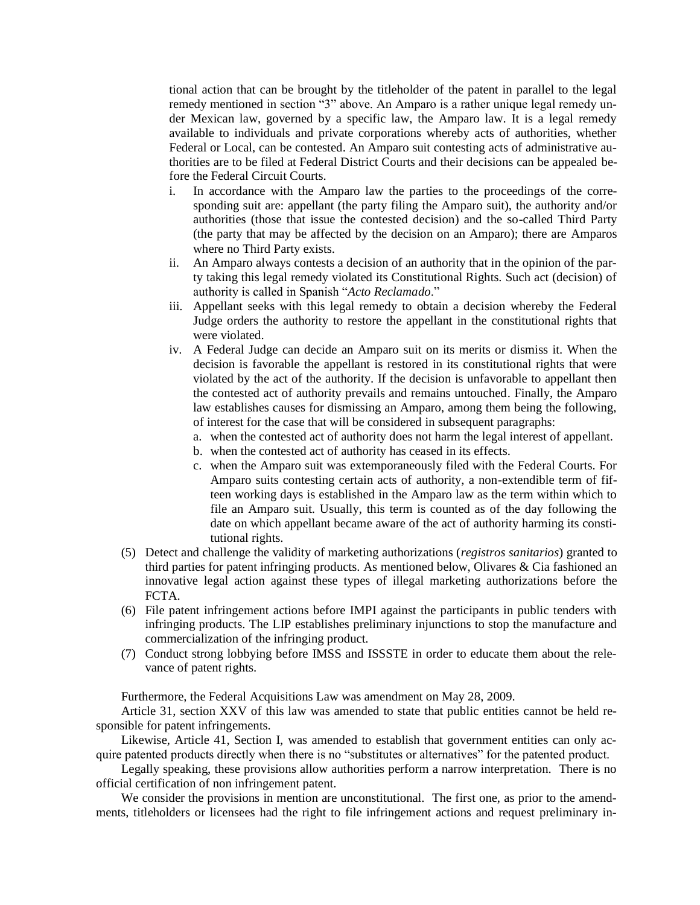tional action that can be brought by the titleholder of the patent in parallel to the legal remedy mentioned in section "3" above. An Amparo is a rather unique legal remedy under Mexican law, governed by a specific law, the Amparo law. It is a legal remedy available to individuals and private corporations whereby acts of authorities, whether Federal or Local, can be contested. An Amparo suit contesting acts of administrative authorities are to be filed at Federal District Courts and their decisions can be appealed before the Federal Circuit Courts.

- i. In accordance with the Amparo law the parties to the proceedings of the corresponding suit are: appellant (the party filing the Amparo suit), the authority and/or authorities (those that issue the contested decision) and the so-called Third Party (the party that may be affected by the decision on an Amparo); there are Amparos where no Third Party exists.
- ii. An Amparo always contests a decision of an authority that in the opinion of the party taking this legal remedy violated its Constitutional Rights. Such act (decision) of authority is called in Spanish "*Acto Reclamado*."
- iii. Appellant seeks with this legal remedy to obtain a decision whereby the Federal Judge orders the authority to restore the appellant in the constitutional rights that were violated.
- iv. A Federal Judge can decide an Amparo suit on its merits or dismiss it. When the decision is favorable the appellant is restored in its constitutional rights that were violated by the act of the authority. If the decision is unfavorable to appellant then the contested act of authority prevails and remains untouched. Finally, the Amparo law establishes causes for dismissing an Amparo, among them being the following, of interest for the case that will be considered in subsequent paragraphs:
	- a. when the contested act of authority does not harm the legal interest of appellant.
	- b. when the contested act of authority has ceased in its effects.
	- c. when the Amparo suit was extemporaneously filed with the Federal Courts. For Amparo suits contesting certain acts of authority, a non-extendible term of fifteen working days is established in the Amparo law as the term within which to file an Amparo suit. Usually, this term is counted as of the day following the date on which appellant became aware of the act of authority harming its constitutional rights.
- (5) Detect and challenge the validity of marketing authorizations (*registros sanitarios*) granted to third parties for patent infringing products. As mentioned below, Olivares & Cia fashioned an innovative legal action against these types of illegal marketing authorizations before the FCTA.
- (6) File patent infringement actions before IMPI against the participants in public tenders with infringing products. The LIP establishes preliminary injunctions to stop the manufacture and commercialization of the infringing product.
- (7) Conduct strong lobbying before IMSS and ISSSTE in order to educate them about the relevance of patent rights.

Furthermore, the Federal Acquisitions Law was amendment on May 28, 2009.

Article 31, section XXV of this law was amended to state that public entities cannot be held responsible for patent infringements.

Likewise, Article 41, Section I, was amended to establish that government entities can only acquire patented products directly when there is no "substitutes or alternatives" for the patented product.

Legally speaking, these provisions allow authorities perform a narrow interpretation. There is no official certification of non infringement patent.

We consider the provisions in mention are unconstitutional. The first one, as prior to the amendments, titleholders or licensees had the right to file infringement actions and request preliminary in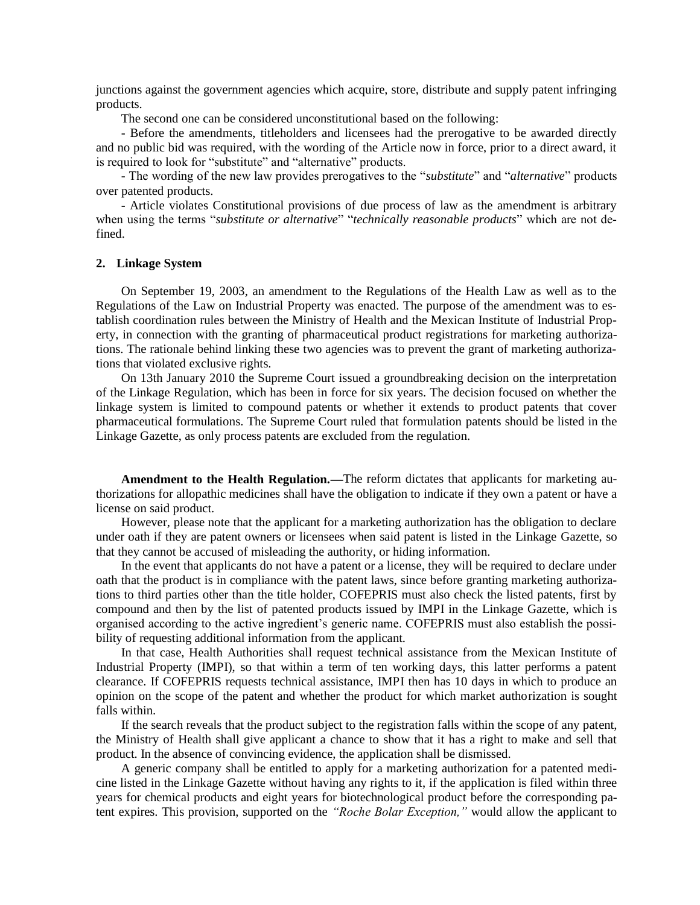junctions against the government agencies which acquire, store, distribute and supply patent infringing products.

The second one can be considered unconstitutional based on the following:

- Before the amendments, titleholders and licensees had the prerogative to be awarded directly and no public bid was required, with the wording of the Article now in force, prior to a direct award, it is required to look for "substitute" and "alternative" products.

- The wording of the new law provides prerogatives to the "*substitute*" and "*alternative*" products over patented products.

- Article violates Constitutional provisions of due process of law as the amendment is arbitrary when using the terms "*substitute or alternative*" "*technically reasonable products*" which are not defined.

### **2. Linkage System**

On September 19, 2003, an amendment to the Regulations of the Health Law as well as to the Regulations of the Law on Industrial Property was enacted. The purpose of the amendment was to establish coordination rules between the Ministry of Health and the Mexican Institute of Industrial Property, in connection with the granting of pharmaceutical product registrations for marketing authorizations. The rationale behind linking these two agencies was to prevent the grant of marketing authorizations that violated exclusive rights.

On 13th January 2010 the Supreme Court issued a groundbreaking decision on the interpretation of the Linkage Regulation, which has been in force for six years. The decision focused on whether the linkage system is limited to compound patents or whether it extends to product patents that cover pharmaceutical formulations. The Supreme Court ruled that formulation patents should be listed in the Linkage Gazette, as only process patents are excluded from the regulation.

**Amendment to the Health Regulation.—**The reform dictates that applicants for marketing authorizations for allopathic medicines shall have the obligation to indicate if they own a patent or have a license on said product.

However, please note that the applicant for a marketing authorization has the obligation to declare under oath if they are patent owners or licensees when said patent is listed in the Linkage Gazette, so that they cannot be accused of misleading the authority, or hiding information.

In the event that applicants do not have a patent or a license, they will be required to declare under oath that the product is in compliance with the patent laws, since before granting marketing authorizations to third parties other than the title holder, COFEPRIS must also check the listed patents, first by compound and then by the list of patented products issued by IMPI in the Linkage Gazette, which is organised according to the active ingredient's generic name. COFEPRIS must also establish the possibility of requesting additional information from the applicant.

In that case, Health Authorities shall request technical assistance from the Mexican Institute of Industrial Property (IMPI), so that within a term of ten working days, this latter performs a patent clearance. If COFEPRIS requests technical assistance, IMPI then has 10 days in which to produce an opinion on the scope of the patent and whether the product for which market authorization is sought falls within.

If the search reveals that the product subject to the registration falls within the scope of any patent, the Ministry of Health shall give applicant a chance to show that it has a right to make and sell that product. In the absence of convincing evidence, the application shall be dismissed.

A generic company shall be entitled to apply for a marketing authorization for a patented medicine listed in the Linkage Gazette without having any rights to it, if the application is filed within three years for chemical products and eight years for biotechnological product before the corresponding patent expires. This provision, supported on the *"Roche Bolar Exception,"* would allow the applicant to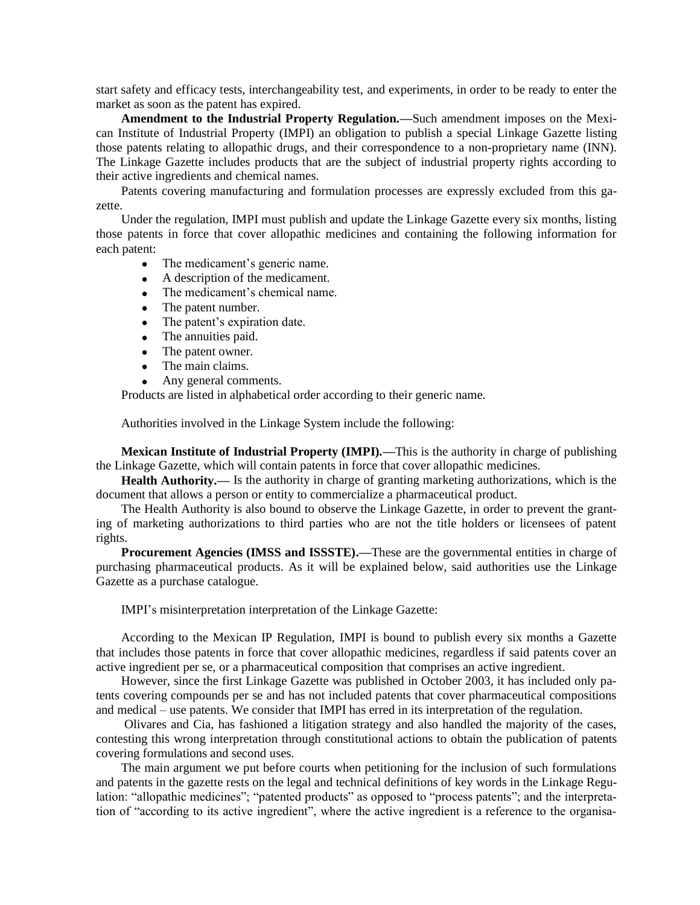start safety and efficacy tests, interchangeability test, and experiments, in order to be ready to enter the market as soon as the patent has expired.

**Amendment to the Industrial Property Regulation.—**Such amendment imposes on the Mexican Institute of Industrial Property (IMPI) an obligation to publish a special Linkage Gazette listing those patents relating to allopathic drugs, and their correspondence to a non-proprietary name (INN). The Linkage Gazette includes products that are the subject of industrial property rights according to their active ingredients and chemical names.

Patents covering manufacturing and formulation processes are expressly excluded from this gazette.

Under the regulation, IMPI must publish and update the Linkage Gazette every six months, listing those patents in force that cover allopathic medicines and containing the following information for each patent:

- The medicament's generic name.
- A description of the medicament.
- The medicament's chemical name.
- The patent number.
- The patent's expiration date.
- The annuities paid.
- The patent owner.
- The main claims.
- Any general comments.

Products are listed in alphabetical order according to their generic name.

Authorities involved in the Linkage System include the following:

**Mexican Institute of Industrial Property (IMPI).—**This is the authority in charge of publishing the Linkage Gazette, which will contain patents in force that cover allopathic medicines.

**Health Authority.—** Is the authority in charge of granting marketing authorizations, which is the document that allows a person or entity to commercialize a pharmaceutical product.

The Health Authority is also bound to observe the Linkage Gazette, in order to prevent the granting of marketing authorizations to third parties who are not the title holders or licensees of patent rights.

**Procurement Agencies (IMSS and ISSSTE).—**These are the governmental entities in charge of purchasing pharmaceutical products. As it will be explained below, said authorities use the Linkage Gazette as a purchase catalogue.

IMPI's misinterpretation interpretation of the Linkage Gazette:

According to the Mexican IP Regulation, IMPI is bound to publish every six months a Gazette that includes those patents in force that cover allopathic medicines, regardless if said patents cover an active ingredient per se, or a pharmaceutical composition that comprises an active ingredient.

However, since the first Linkage Gazette was published in October 2003, it has included only patents covering compounds per se and has not included patents that cover pharmaceutical compositions and medical – use patents. We consider that IMPI has erred in its interpretation of the regulation.

Olivares and Cia, has fashioned a litigation strategy and also handled the majority of the cases, contesting this wrong interpretation through constitutional actions to obtain the publication of patents covering formulations and second uses.

The main argument we put before courts when petitioning for the inclusion of such formulations and patents in the gazette rests on the legal and technical definitions of key words in the Linkage Regulation: "allopathic medicines"; "patented products" as opposed to "process patents"; and the interpretation of "according to its active ingredient", where the active ingredient is a reference to the organisa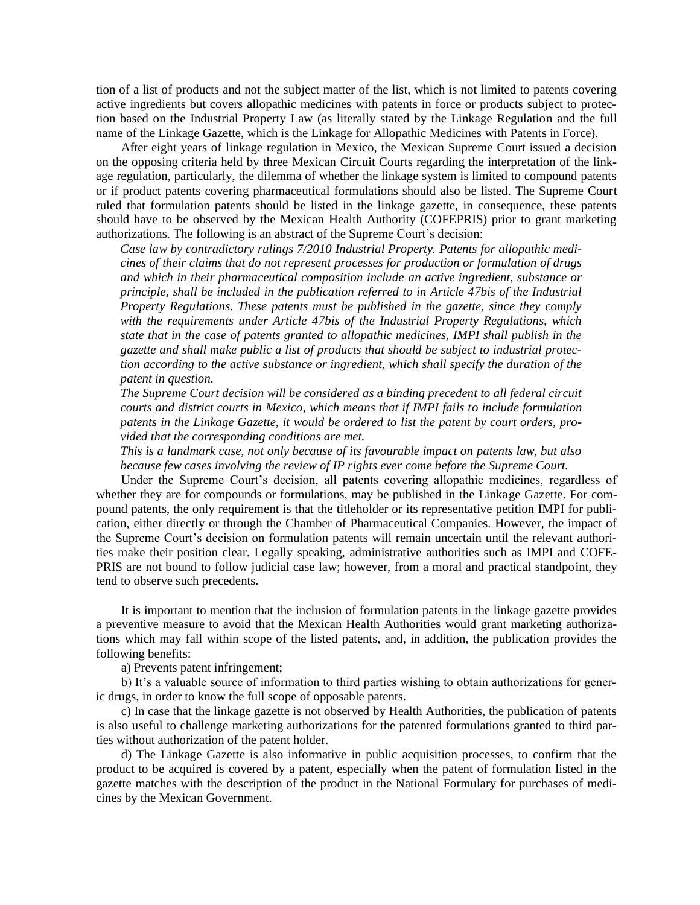tion of a list of products and not the subject matter of the list, which is not limited to patents covering active ingredients but covers allopathic medicines with patents in force or products subject to protection based on the Industrial Property Law (as literally stated by the Linkage Regulation and the full name of the Linkage Gazette, which is the Linkage for Allopathic Medicines with Patents in Force).

After eight years of linkage regulation in Mexico, the Mexican Supreme Court issued a decision on the opposing criteria held by three Mexican Circuit Courts regarding the interpretation of the linkage regulation, particularly, the dilemma of whether the linkage system is limited to compound patents or if product patents covering pharmaceutical formulations should also be listed. The Supreme Court ruled that formulation patents should be listed in the linkage gazette, in consequence, these patents should have to be observed by the Mexican Health Authority (COFEPRIS) prior to grant marketing authorizations. The following is an abstract of the Supreme Court's decision:

*Case law by contradictory rulings 7/2010 Industrial Property. Patents for allopathic medicines of their claims that do not represent processes for production or formulation of drugs and which in their pharmaceutical composition include an active ingredient, substance or principle, shall be included in the publication referred to in Article 47bis of the Industrial Property Regulations. These patents must be published in the gazette, since they comply with the requirements under Article 47bis of the Industrial Property Regulations, which state that in the case of patents granted to allopathic medicines, IMPI shall publish in the gazette and shall make public a list of products that should be subject to industrial protection according to the active substance or ingredient, which shall specify the duration of the patent in question.*

*The Supreme Court decision will be considered as a binding precedent to all federal circuit courts and district courts in Mexico, which means that if IMPI fails to include formulation patents in the Linkage Gazette, it would be ordered to list the patent by court orders, provided that the corresponding conditions are met.*

*This is a landmark case, not only because of its favourable impact on patents law, but also because few cases involving the review of IP rights ever come before the Supreme Court.*

Under the Supreme Court's decision, all patents covering allopathic medicines, regardless of whether they are for compounds or formulations, may be published in the Linkage Gazette. For compound patents, the only requirement is that the titleholder or its representative petition IMPI for publication, either directly or through the Chamber of Pharmaceutical Companies. However, the impact of the Supreme Court's decision on formulation patents will remain uncertain until the relevant authorities make their position clear. Legally speaking, administrative authorities such as IMPI and COFE-PRIS are not bound to follow judicial case law; however, from a moral and practical standpoint, they tend to observe such precedents.

It is important to mention that the inclusion of formulation patents in the linkage gazette provides a preventive measure to avoid that the Mexican Health Authorities would grant marketing authorizations which may fall within scope of the listed patents, and, in addition, the publication provides the following benefits:

a) Prevents patent infringement;

b) It's a valuable source of information to third parties wishing to obtain authorizations for generic drugs, in order to know the full scope of opposable patents.

c) In case that the linkage gazette is not observed by Health Authorities, the publication of patents is also useful to challenge marketing authorizations for the patented formulations granted to third parties without authorization of the patent holder.

d) The Linkage Gazette is also informative in public acquisition processes, to confirm that the product to be acquired is covered by a patent, especially when the patent of formulation listed in the gazette matches with the description of the product in the National Formulary for purchases of medicines by the Mexican Government.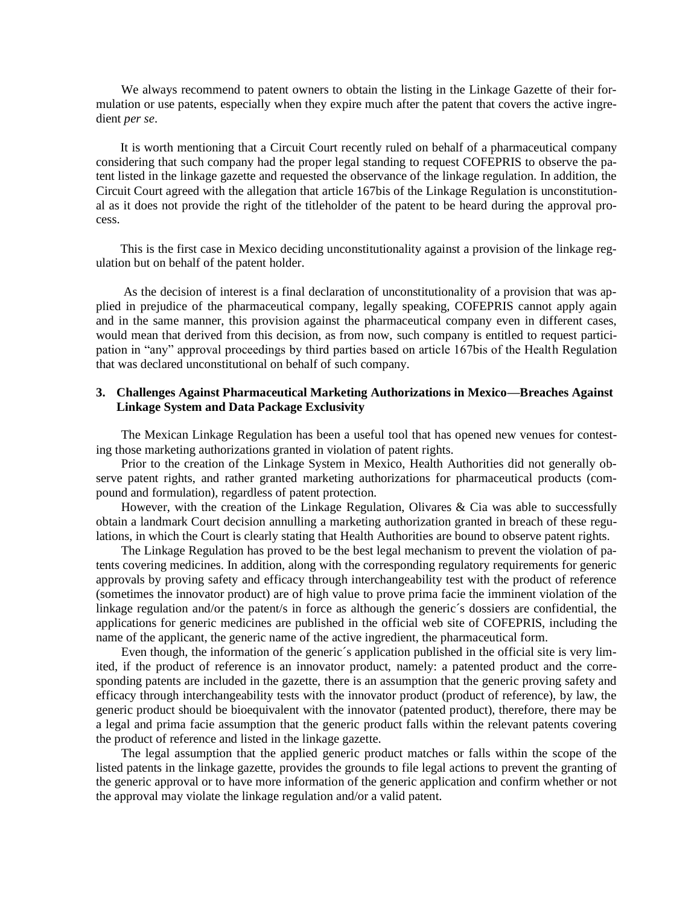We always recommend to patent owners to obtain the listing in the Linkage Gazette of their formulation or use patents, especially when they expire much after the patent that covers the active ingredient *per se*.

It is worth mentioning that a Circuit Court recently ruled on behalf of a pharmaceutical company considering that such company had the proper legal standing to request COFEPRIS to observe the patent listed in the linkage gazette and requested the observance of the linkage regulation. In addition, the Circuit Court agreed with the allegation that article 167bis of the Linkage Regulation is unconstitutional as it does not provide the right of the titleholder of the patent to be heard during the approval process.

This is the first case in Mexico deciding unconstitutionality against a provision of the linkage regulation but on behalf of the patent holder.

As the decision of interest is a final declaration of unconstitutionality of a provision that was applied in prejudice of the pharmaceutical company, legally speaking, COFEPRIS cannot apply again and in the same manner, this provision against the pharmaceutical company even in different cases, would mean that derived from this decision, as from now, such company is entitled to request participation in "any" approval proceedings by third parties based on article 167bis of the Health Regulation that was declared unconstitutional on behalf of such company.

## **3. Challenges Against Pharmaceutical Marketing Authorizations in Mexico—Breaches Against Linkage System and Data Package Exclusivity**

The Mexican Linkage Regulation has been a useful tool that has opened new venues for contesting those marketing authorizations granted in violation of patent rights.

Prior to the creation of the Linkage System in Mexico, Health Authorities did not generally observe patent rights, and rather granted marketing authorizations for pharmaceutical products (compound and formulation), regardless of patent protection.

However, with the creation of the Linkage Regulation, Olivares & Cia was able to successfully obtain a landmark Court decision annulling a marketing authorization granted in breach of these regulations, in which the Court is clearly stating that Health Authorities are bound to observe patent rights.

The Linkage Regulation has proved to be the best legal mechanism to prevent the violation of patents covering medicines. In addition, along with the corresponding regulatory requirements for generic approvals by proving safety and efficacy through interchangeability test with the product of reference (sometimes the innovator product) are of high value to prove prima facie the imminent violation of the linkage regulation and/or the patent/s in force as although the generic´s dossiers are confidential, the applications for generic medicines are published in the official web site of COFEPRIS, including the name of the applicant, the generic name of the active ingredient, the pharmaceutical form.

Even though, the information of the generic´s application published in the official site is very limited, if the product of reference is an innovator product, namely: a patented product and the corresponding patents are included in the gazette, there is an assumption that the generic proving safety and efficacy through interchangeability tests with the innovator product (product of reference), by law, the generic product should be bioequivalent with the innovator (patented product), therefore, there may be a legal and prima facie assumption that the generic product falls within the relevant patents covering the product of reference and listed in the linkage gazette.

The legal assumption that the applied generic product matches or falls within the scope of the listed patents in the linkage gazette, provides the grounds to file legal actions to prevent the granting of the generic approval or to have more information of the generic application and confirm whether or not the approval may violate the linkage regulation and/or a valid patent.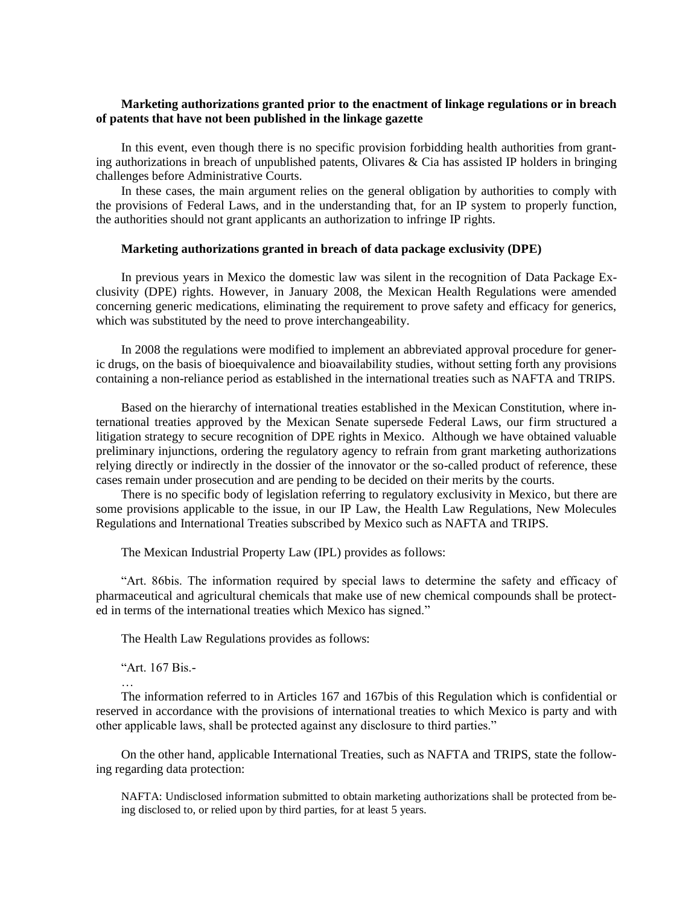# **Marketing authorizations granted prior to the enactment of linkage regulations or in breach of patents that have not been published in the linkage gazette**

In this event, even though there is no specific provision forbidding health authorities from granting authorizations in breach of unpublished patents, Olivares & Cia has assisted IP holders in bringing challenges before Administrative Courts.

In these cases, the main argument relies on the general obligation by authorities to comply with the provisions of Federal Laws, and in the understanding that, for an IP system to properly function, the authorities should not grant applicants an authorization to infringe IP rights.

### **Marketing authorizations granted in breach of data package exclusivity (DPE)**

In previous years in Mexico the domestic law was silent in the recognition of Data Package Exclusivity (DPE) rights. However, in January 2008, the Mexican Health Regulations were amended concerning generic medications, eliminating the requirement to prove safety and efficacy for generics, which was substituted by the need to prove interchangeability.

In 2008 the regulations were modified to implement an abbreviated approval procedure for generic drugs, on the basis of bioequivalence and bioavailability studies, without setting forth any provisions containing a non-reliance period as established in the international treaties such as NAFTA and TRIPS.

Based on the hierarchy of international treaties established in the Mexican Constitution, where international treaties approved by the Mexican Senate supersede Federal Laws, our firm structured a litigation strategy to secure recognition of DPE rights in Mexico. Although we have obtained valuable preliminary injunctions, ordering the regulatory agency to refrain from grant marketing authorizations relying directly or indirectly in the dossier of the innovator or the so-called product of reference, these cases remain under prosecution and are pending to be decided on their merits by the courts.

There is no specific body of legislation referring to regulatory exclusivity in Mexico, but there are some provisions applicable to the issue, in our IP Law, the Health Law Regulations, New Molecules Regulations and International Treaties subscribed by Mexico such as NAFTA and TRIPS.

The Mexican Industrial Property Law (IPL) provides as follows:

"Art. 86bis. The information required by special laws to determine the safety and efficacy of pharmaceutical and agricultural chemicals that make use of new chemical compounds shall be protected in terms of the international treaties which Mexico has signed."

The Health Law Regulations provides as follows:

"Art. 167 Bis.-

…

The information referred to in Articles 167 and 167bis of this Regulation which is confidential or reserved in accordance with the provisions of international treaties to which Mexico is party and with other applicable laws, shall be protected against any disclosure to third parties."

On the other hand, applicable International Treaties, such as NAFTA and TRIPS, state the following regarding data protection:

NAFTA: Undisclosed information submitted to obtain marketing authorizations shall be protected from being disclosed to, or relied upon by third parties, for at least 5 years.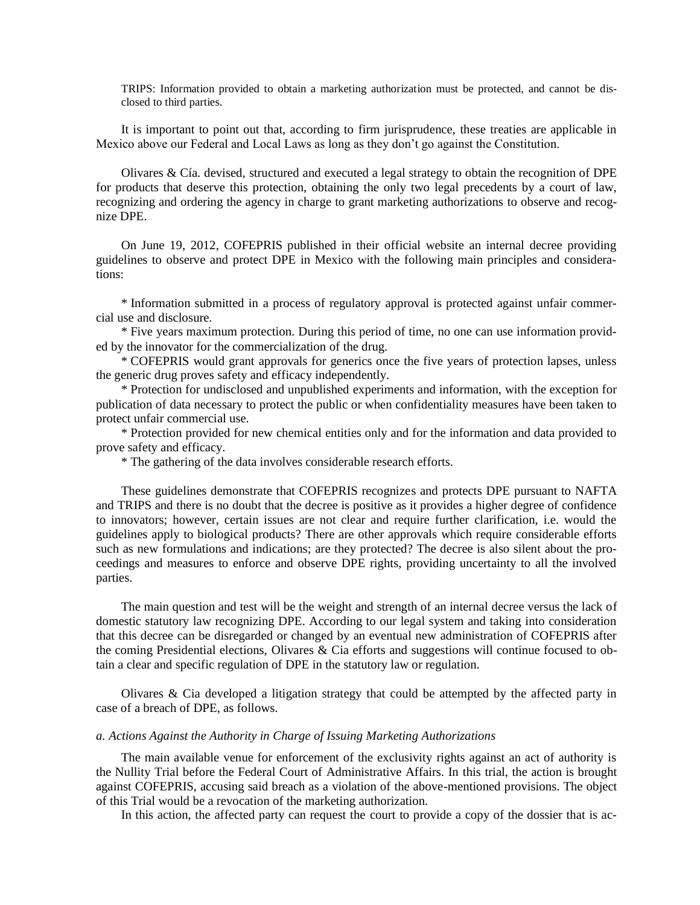TRIPS: Information provided to obtain a marketing authorization must be protected, and cannot be disclosed to third parties.

It is important to point out that, according to firm jurisprudence, these treaties are applicable in Mexico above our Federal and Local Laws as long as they don't go against the Constitution.

Olivares & Cía. devised, structured and executed a legal strategy to obtain the recognition of DPE for products that deserve this protection, obtaining the only two legal precedents by a court of law, recognizing and ordering the agency in charge to grant marketing authorizations to observe and recognize DPE.

On June 19, 2012, COFEPRIS published in their official website an internal decree providing guidelines to observe and protect DPE in Mexico with the following main principles and considerations:

\* Information submitted in a process of regulatory approval is protected against unfair commercial use and disclosure.

\* Five years maximum protection. During this period of time, no one can use information provided by the innovator for the commercialization of the drug.

\* COFEPRIS would grant approvals for generics once the five years of protection lapses, unless the generic drug proves safety and efficacy independently.

\* Protection for undisclosed and unpublished experiments and information, with the exception for publication of data necessary to protect the public or when confidentiality measures have been taken to protect unfair commercial use.

\* Protection provided for new chemical entities only and for the information and data provided to prove safety and efficacy.

\* The gathering of the data involves considerable research efforts.

These guidelines demonstrate that COFEPRIS recognizes and protects DPE pursuant to NAFTA and TRIPS and there is no doubt that the decree is positive as it provides a higher degree of confidence to innovators; however, certain issues are not clear and require further clarification, i.e. would the guidelines apply to biological products? There are other approvals which require considerable efforts such as new formulations and indications; are they protected? The decree is also silent about the proceedings and measures to enforce and observe DPE rights, providing uncertainty to all the involved parties.

The main question and test will be the weight and strength of an internal decree versus the lack of domestic statutory law recognizing DPE. According to our legal system and taking into consideration that this decree can be disregarded or changed by an eventual new administration of COFEPRIS after the coming Presidential elections, Olivares & Cia efforts and suggestions will continue focused to obtain a clear and specific regulation of DPE in the statutory law or regulation.

Olivares & Cia developed a litigation strategy that could be attempted by the affected party in case of a breach of DPE, as follows.

### *a. Actions Against the Authority in Charge of Issuing Marketing Authorizations*

The main available venue for enforcement of the exclusivity rights against an act of authority is the Nullity Trial before the Federal Court of Administrative Affairs. In this trial, the action is brought against COFEPRIS, accusing said breach as a violation of the above-mentioned provisions. The object of this Trial would be a revocation of the marketing authorization.

In this action, the affected party can request the court to provide a copy of the dossier that is ac-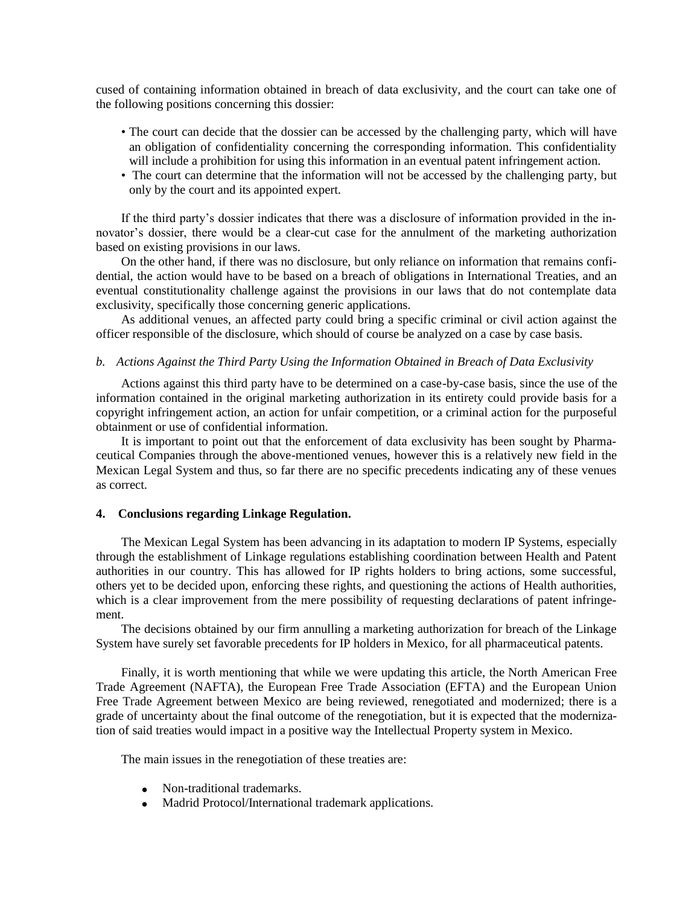cused of containing information obtained in breach of data exclusivity, and the court can take one of the following positions concerning this dossier:

- The court can decide that the dossier can be accessed by the challenging party, which will have an obligation of confidentiality concerning the corresponding information. This confidentiality will include a prohibition for using this information in an eventual patent infringement action.
- The court can determine that the information will not be accessed by the challenging party, but only by the court and its appointed expert.

If the third party's dossier indicates that there was a disclosure of information provided in the innovator's dossier, there would be a clear-cut case for the annulment of the marketing authorization based on existing provisions in our laws.

On the other hand, if there was no disclosure, but only reliance on information that remains confidential, the action would have to be based on a breach of obligations in International Treaties, and an eventual constitutionality challenge against the provisions in our laws that do not contemplate data exclusivity, specifically those concerning generic applications.

As additional venues, an affected party could bring a specific criminal or civil action against the officer responsible of the disclosure, which should of course be analyzed on a case by case basis.

### *b. Actions Against the Third Party Using the Information Obtained in Breach of Data Exclusivity*

Actions against this third party have to be determined on a case-by-case basis, since the use of the information contained in the original marketing authorization in its entirety could provide basis for a copyright infringement action, an action for unfair competition, or a criminal action for the purposeful obtainment or use of confidential information.

It is important to point out that the enforcement of data exclusivity has been sought by Pharmaceutical Companies through the above-mentioned venues, however this is a relatively new field in the Mexican Legal System and thus, so far there are no specific precedents indicating any of these venues as correct.

### **4. Conclusions regarding Linkage Regulation.**

The Mexican Legal System has been advancing in its adaptation to modern IP Systems, especially through the establishment of Linkage regulations establishing coordination between Health and Patent authorities in our country. This has allowed for IP rights holders to bring actions, some successful, others yet to be decided upon, enforcing these rights, and questioning the actions of Health authorities, which is a clear improvement from the mere possibility of requesting declarations of patent infringement.

The decisions obtained by our firm annulling a marketing authorization for breach of the Linkage System have surely set favorable precedents for IP holders in Mexico, for all pharmaceutical patents.

Finally, it is worth mentioning that while we were updating this article, the North American Free Trade Agreement (NAFTA), the European Free Trade Association (EFTA) and the European Union Free Trade Agreement between Mexico are being reviewed, renegotiated and modernized; there is a grade of uncertainty about the final outcome of the renegotiation, but it is expected that the modernization of said treaties would impact in a positive way the Intellectual Property system in Mexico.

The main issues in the renegotiation of these treaties are:

- Non-traditional trademarks.
- Madrid Protocol/International trademark applications.